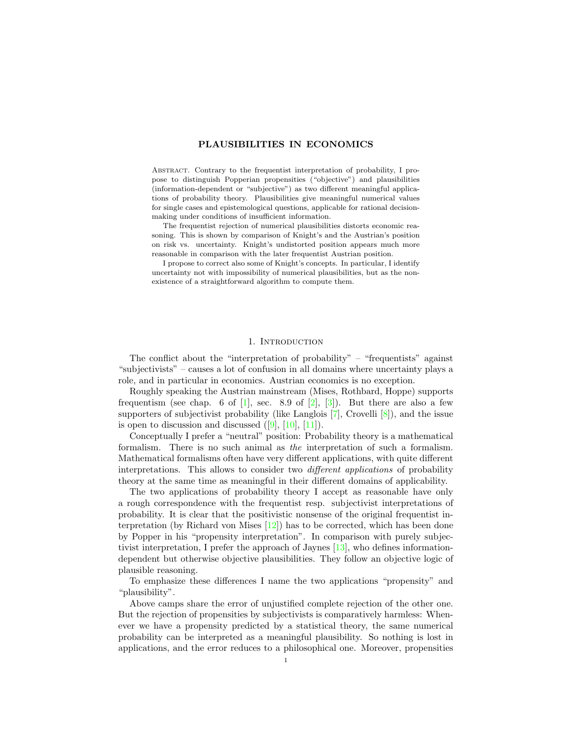# PLAUSIBILITIES IN ECONOMICS

Abstract. Contrary to the frequentist interpretation of probability, I propose to distinguish Popperian propensities ("objective") and plausibilities (information-dependent or "subjective") as two different meaningful applications of probability theory. Plausibilities give meaningful numerical values for single cases and epistemological questions, applicable for rational decisionmaking under conditions of insufficient information.

The frequentist rejection of numerical plausibilities distorts economic reasoning. This is shown by comparison of Knight's and the Austrian's position on risk vs. uncertainty. Knight's undistorted position appears much more reasonable in comparison with the later frequentist Austrian position.

I propose to correct also some of Knight's concepts. In particular, I identify uncertainty not with impossibility of numerical plausibilities, but as the nonexistence of a straightforward algorithm to compute them.

## 1. INTRODUCTION

The conflict about the "interpretation of probability" – "frequentists" against "subjectivists" – causes a lot of confusion in all domains where uncertainty plays a role, and in particular in economics. Austrian economics is no exception.

Roughly speaking the Austrian mainstream (Mises, Rothbard, Hoppe) supports frequentism (see chap. 6 of [\[1\]](#page-30-0), sec. 8.9 of [\[2\]](#page-30-1), [\[3\]](#page-30-2)). But there are also a few supporters of subjectivist probability (like Langlois  $[7]$ , Crovelli  $[8]$ ), and the issue is open to discussion and discussed  $([9], [10], [11])$  $([9], [10], [11])$  $([9], [10], [11])$  $([9], [10], [11])$  $([9], [10], [11])$  $([9], [10], [11])$  $([9], [10], [11])$ .

Conceptually I prefer a "neutral" position: Probability theory is a mathematical formalism. There is no such animal as the interpretation of such a formalism. Mathematical formalisms often have very different applications, with quite different interpretations. This allows to consider two different applications of probability theory at the same time as meaningful in their different domains of applicability.

The two applications of probability theory I accept as reasonable have only a rough correspondence with the frequentist resp. subjectivist interpretations of probability. It is clear that the positivistic nonsense of the original frequentist interpretation (by Richard von Mises [\[12\]](#page-31-1)) has to be corrected, which has been done by Popper in his "propensity interpretation". In comparison with purely subjectivist interpretation, I prefer the approach of Jaynes [\[13\]](#page-31-2), who defines informationdependent but otherwise objective plausibilities. They follow an objective logic of plausible reasoning.

To emphasize these differences I name the two applications "propensity" and "plausibility".

Above camps share the error of unjustified complete rejection of the other one. But the rejection of propensities by subjectivists is comparatively harmless: Whenever we have a propensity predicted by a statistical theory, the same numerical probability can be interpreted as a meaningful plausibility. So nothing is lost in applications, and the error reduces to a philosophical one. Moreover, propensities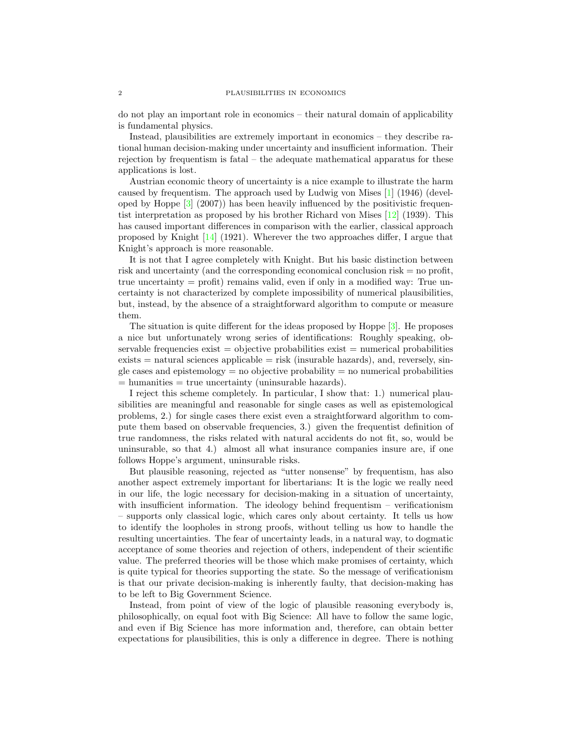do not play an important role in economics – their natural domain of applicability is fundamental physics.

Instead, plausibilities are extremely important in economics – they describe rational human decision-making under uncertainty and insufficient information. Their rejection by frequentism is fatal – the adequate mathematical apparatus for these applications is lost.

Austrian economic theory of uncertainty is a nice example to illustrate the harm caused by frequentism. The approach used by Ludwig von Mises [\[1\]](#page-30-0) (1946) (developed by Hoppe  $\lceil 3 \rceil$  (2007)) has been heavily influenced by the positivistic frequentist interpretation as proposed by his brother Richard von Mises [\[12\]](#page-31-1) (1939). This has caused important differences in comparison with the earlier, classical approach proposed by Knight [\[14\]](#page-31-3) (1921). Wherever the two approaches differ, I argue that Knight's approach is more reasonable.

It is not that I agree completely with Knight. But his basic distinction between risk and uncertainty (and the corresponding economical conclusion risk  $=$  no profit, true uncertainty = profit) remains valid, even if only in a modified way: True uncertainty is not characterized by complete impossibility of numerical plausibilities, but, instead, by the absence of a straightforward algorithm to compute or measure them.

The situation is quite different for the ideas proposed by Hoppe [\[3\]](#page-30-2). He proposes a nice but unfortunately wrong series of identifications: Roughly speaking, observable frequencies  $exist = objective$  probabilities  $exist = numerical$  probabilities  $exists =$  natural sciences applicable  $=$  risk (insurable hazards), and, reversely, single cases and epistemology  $=$  no objective probability  $=$  no numerical probabilities  $=$  humanities  $=$  true uncertainty (uninsurable hazards).

I reject this scheme completely. In particular, I show that: 1.) numerical plausibilities are meaningful and reasonable for single cases as well as epistemological problems, 2.) for single cases there exist even a straightforward algorithm to compute them based on observable frequencies, 3.) given the frequentist definition of true randomness, the risks related with natural accidents do not fit, so, would be uninsurable, so that 4.) almost all what insurance companies insure are, if one follows Hoppe's argument, uninsurable risks.

But plausible reasoning, rejected as "utter nonsense" by frequentism, has also another aspect extremely important for libertarians: It is the logic we really need in our life, the logic necessary for decision-making in a situation of uncertainty, with insufficient information. The ideology behind frequentism – verificationism – supports only classical logic, which cares only about certainty. It tells us how to identify the loopholes in strong proofs, without telling us how to handle the resulting uncertainties. The fear of uncertainty leads, in a natural way, to dogmatic acceptance of some theories and rejection of others, independent of their scientific value. The preferred theories will be those which make promises of certainty, which is quite typical for theories supporting the state. So the message of verificationism is that our private decision-making is inherently faulty, that decision-making has to be left to Big Government Science.

Instead, from point of view of the logic of plausible reasoning everybody is, philosophically, on equal foot with Big Science: All have to follow the same logic, and even if Big Science has more information and, therefore, can obtain better expectations for plausibilities, this is only a difference in degree. There is nothing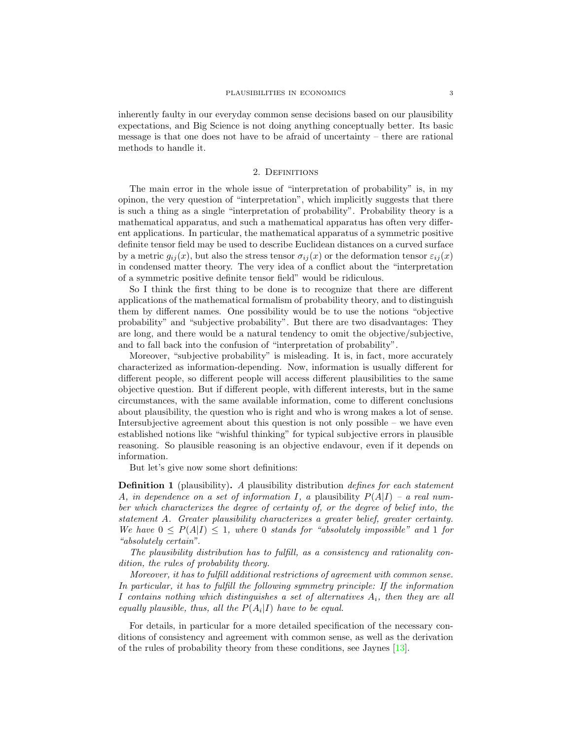inherently faulty in our everyday common sense decisions based on our plausibility expectations, and Big Science is not doing anything conceptually better. Its basic message is that one does not have to be afraid of uncertainty – there are rational methods to handle it.

### 2. Definitions

The main error in the whole issue of "interpretation of probability" is, in my opinon, the very question of "interpretation", which implicitly suggests that there is such a thing as a single "interpretation of probability". Probability theory is a mathematical apparatus, and such a mathematical apparatus has often very different applications. In particular, the mathematical apparatus of a symmetric positive definite tensor field may be used to describe Euclidean distances on a curved surface by a metric  $g_{ij}(x)$ , but also the stress tensor  $\sigma_{ij}(x)$  or the deformation tensor  $\varepsilon_{ij}(x)$ in condensed matter theory. The very idea of a conflict about the "interpretation of a symmetric positive definite tensor field" would be ridiculous.

So I think the first thing to be done is to recognize that there are different applications of the mathematical formalism of probability theory, and to distinguish them by different names. One possibility would be to use the notions "objective probability" and "subjective probability". But there are two disadvantages: They are long, and there would be a natural tendency to omit the objective/subjective, and to fall back into the confusion of "interpretation of probability".

Moreover, "subjective probability" is misleading. It is, in fact, more accurately characterized as information-depending. Now, information is usually different for different people, so different people will access different plausibilities to the same objective question. But if different people, with different interests, but in the same circumstances, with the same available information, come to different conclusions about plausibility, the question who is right and who is wrong makes a lot of sense. Intersubjective agreement about this question is not only possible – we have even established notions like "wishful thinking" for typical subjective errors in plausible reasoning. So plausible reasoning is an objective endavour, even if it depends on information.

But let's give now some short definitions:

**Definition 1** (plausibility). A plausibility distribution *defines for each statement* A, in dependence on a set of information I, a plausibility  $P(A|I)$  – a real number which characterizes the degree of certainty of, or the degree of belief into, the statement A. Greater plausibility characterizes a greater belief, greater certainty. We have  $0 \leq P(A|I) \leq 1$ , where 0 stands for "absolutely impossible" and 1 for "absolutely certain".

The plausibility distribution has to fulfill, as a consistency and rationality condition, the rules of probability theory.

Moreover, it has to fulfill additional restrictions of agreement with common sense. In particular, it has to fulfill the following symmetry principle: If the information I contains nothing which distinguishes a set of alternatives  $A_i$ , then they are all equally plausible, thus, all the  $P(A_i|I)$  have to be equal.

For details, in particular for a more detailed specification of the necessary conditions of consistency and agreement with common sense, as well as the derivation of the rules of probability theory from these conditions, see Jaynes [\[13\]](#page-31-2).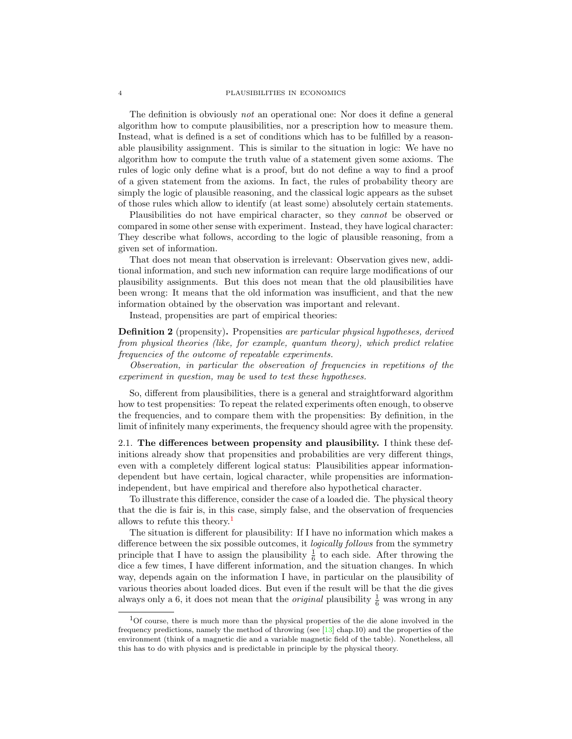#### 4 PLAUSIBILITIES IN ECONOMICS

The definition is obviously *not* an operational one: Nor does it define a general algorithm how to compute plausibilities, nor a prescription how to measure them. Instead, what is defined is a set of conditions which has to be fulfilled by a reasonable plausibility assignment. This is similar to the situation in logic: We have no algorithm how to compute the truth value of a statement given some axioms. The rules of logic only define what is a proof, but do not define a way to find a proof of a given statement from the axioms. In fact, the rules of probability theory are simply the logic of plausible reasoning, and the classical logic appears as the subset of those rules which allow to identify (at least some) absolutely certain statements.

Plausibilities do not have empirical character, so they cannot be observed or compared in some other sense with experiment. Instead, they have logical character: They describe what follows, according to the logic of plausible reasoning, from a given set of information.

That does not mean that observation is irrelevant: Observation gives new, additional information, and such new information can require large modifications of our plausibility assignments. But this does not mean that the old plausibilities have been wrong: It means that the old information was insufficient, and that the new information obtained by the observation was important and relevant.

Instead, propensities are part of empirical theories:

Definition 2 (propensity). Propensities are particular physical hypotheses, derived from physical theories (like, for example, quantum theory), which predict relative frequencies of the outcome of repeatable experiments.

Observation, in particular the observation of frequencies in repetitions of the experiment in question, may be used to test these hypotheses.

So, different from plausibilities, there is a general and straightforward algorithm how to test propensities: To repeat the related experiments often enough, to observe the frequencies, and to compare them with the propensities: By definition, in the limit of infinitely many experiments, the frequency should agree with the propensity.

2.1. The differences between propensity and plausibility. I think these definitions already show that propensities and probabilities are very different things, even with a completely different logical status: Plausibilities appear informationdependent but have certain, logical character, while propensities are informationindependent, but have empirical and therefore also hypothetical character.

To illustrate this difference, consider the case of a loaded die. The physical theory that the die is fair is, in this case, simply false, and the observation of frequencies allows to refute this theory.<sup>[1](#page-3-0)</sup>

The situation is different for plausibility: If I have no information which makes a difference between the six possible outcomes, it logically follows from the symmetry principle that I have to assign the plausibility  $\frac{1}{6}$  to each side. After throwing the dice a few times, I have different information, and the situation changes. In which way, depends again on the information I have, in particular on the plausibility of various theories about loaded dices. But even if the result will be that the die gives always only a 6, it does not mean that the *original* plausibility  $\frac{1}{6}$  was wrong in any

<span id="page-3-0"></span><sup>1</sup>Of course, there is much more than the physical properties of the die alone involved in the frequency predictions, namely the method of throwing (see [\[13\]](#page-31-2) chap.10) and the properties of the environment (think of a magnetic die and a variable magnetic field of the table). Nonetheless, all this has to do with physics and is predictable in principle by the physical theory.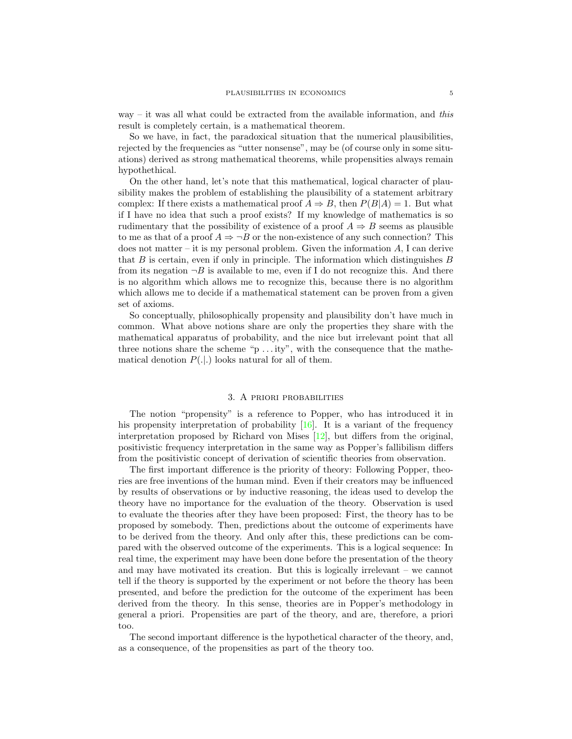way – it was all what could be extracted from the available information, and this result is completely certain, is a mathematical theorem.

So we have, in fact, the paradoxical situation that the numerical plausibilities, rejected by the frequencies as "utter nonsense", may be (of course only in some situations) derived as strong mathematical theorems, while propensities always remain hypothethical.

On the other hand, let's note that this mathematical, logical character of plausibility makes the problem of establishing the plausibility of a statement arbitrary complex: If there exists a mathematical proof  $A \Rightarrow B$ , then  $P(B|A) = 1$ . But what if I have no idea that such a proof exists? If my knowledge of mathematics is so rudimentary that the possibility of existence of a proof  $A \Rightarrow B$  seems as plausible to me as that of a proof  $A \Rightarrow \neg B$  or the non-existence of any such connection? This does not matter – it is my personal problem. Given the information  $A$ , I can derive that  $B$  is certain, even if only in principle. The information which distinguishes  $B$ from its negation  $\neg B$  is available to me, even if I do not recognize this. And there is no algorithm which allows me to recognize this, because there is no algorithm which allows me to decide if a mathematical statement can be proven from a given set of axioms.

So conceptually, philosophically propensity and plausibility don't have much in common. What above notions share are only the properties they share with the mathematical apparatus of probability, and the nice but irrelevant point that all three notions share the scheme " $p \ldots$  ity", with the consequence that the mathematical denotion  $P(.|.)$  looks natural for all of them.

## 3. A priori probabilities

The notion "propensity" is a reference to Popper, who has introduced it in his propensity interpretation of probability [\[16\]](#page-31-4). It is a variant of the frequency interpretation proposed by Richard von Mises [\[12\]](#page-31-1), but differs from the original, positivistic frequency interpretation in the same way as Popper's fallibilism differs from the positivistic concept of derivation of scientific theories from observation.

The first important difference is the priority of theory: Following Popper, theories are free inventions of the human mind. Even if their creators may be influenced by results of observations or by inductive reasoning, the ideas used to develop the theory have no importance for the evaluation of the theory. Observation is used to evaluate the theories after they have been proposed: First, the theory has to be proposed by somebody. Then, predictions about the outcome of experiments have to be derived from the theory. And only after this, these predictions can be compared with the observed outcome of the experiments. This is a logical sequence: In real time, the experiment may have been done before the presentation of the theory and may have motivated its creation. But this is logically irrelevant – we cannot tell if the theory is supported by the experiment or not before the theory has been presented, and before the prediction for the outcome of the experiment has been derived from the theory. In this sense, theories are in Popper's methodology in general a priori. Propensities are part of the theory, and are, therefore, a priori too.

The second important difference is the hypothetical character of the theory, and, as a consequence, of the propensities as part of the theory too.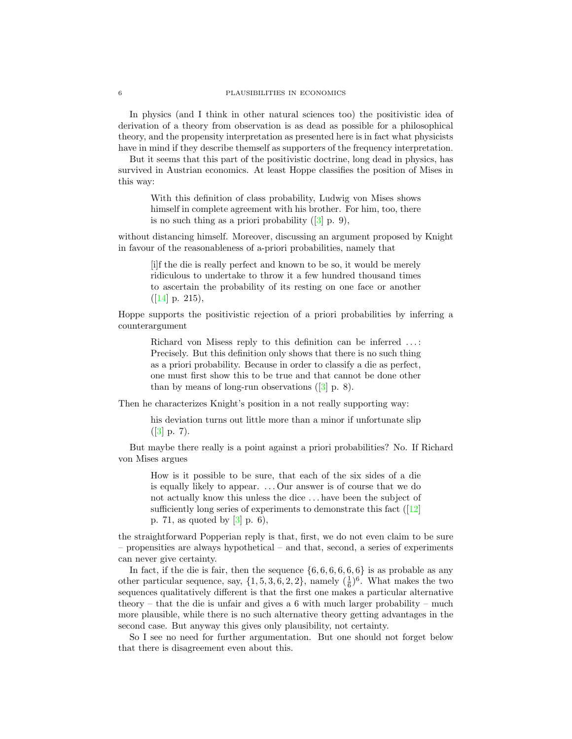### 6 PLAUSIBILITIES IN ECONOMICS

In physics (and I think in other natural sciences too) the positivistic idea of derivation of a theory from observation is as dead as possible for a philosophical theory, and the propensity interpretation as presented here is in fact what physicists have in mind if they describe themself as supporters of the frequency interpretation.

But it seems that this part of the positivistic doctrine, long dead in physics, has survived in Austrian economics. At least Hoppe classifies the position of Mises in this way:

With this definition of class probability, Ludwig von Mises shows himself in complete agreement with his brother. For him, too, there is no such thing as a priori probability  $([3]$  $([3]$  p. 9),

without distancing himself. Moreover, discussing an argument proposed by Knight in favour of the reasonableness of a-priori probabilities, namely that

[i]f the die is really perfect and known to be so, it would be merely ridiculous to undertake to throw it a few hundred thousand times to ascertain the probability of its resting on one face or another  $([14] \; \text{p. } 215),$  $([14] \; \text{p. } 215),$  $([14] \; \text{p. } 215),$ 

Hoppe supports the positivistic rejection of a priori probabilities by inferring a counterargument

Richard von Misess reply to this definition can be inferred . . . : Precisely. But this definition only shows that there is no such thing as a priori probability. Because in order to classify a die as perfect, one must first show this to be true and that cannot be done other than by means of long-run observations  $(3$  p. 8).

Then he characterizes Knight's position in a not really supporting way:

his deviation turns out little more than a minor if unfortunate slip  $([3] p. 7).$  $([3] p. 7).$  $([3] p. 7).$ 

But maybe there really is a point against a priori probabilities? No. If Richard von Mises argues

How is it possible to be sure, that each of the six sides of a die is equally likely to appear. . . . Our answer is of course that we do not actually know this unless the dice . . . have been the subject of sufficiently long series of experiments to demonstrate this fact  $(12)$ p. 71, as quoted by [\[3\]](#page-30-2) p. 6),

the straightforward Popperian reply is that, first, we do not even claim to be sure – propensities are always hypothetical – and that, second, a series of experiments can never give certainty.

In fact, if the die is fair, then the sequence  $\{6, 6, 6, 6, 6, 6\}$  is as probable as any other particular sequence, say,  $\{1, 5, 3, 6, 2, 2\}$ , namely  $(\frac{1}{6})^6$ . What makes the two sequences qualitatively different is that the first one makes a particular alternative theory – that the die is unfair and gives a 6 with much larger probability – much more plausible, while there is no such alternative theory getting advantages in the second case. But anyway this gives only plausibility, not certainty.

So I see no need for further argumentation. But one should not forget below that there is disagreement even about this.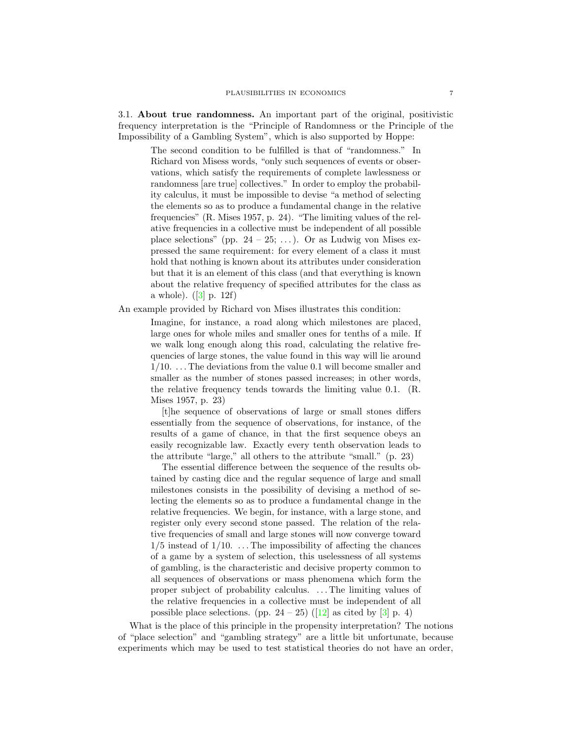3.1. About true randomness. An important part of the original, positivistic frequency interpretation is the "Principle of Randomness or the Principle of the Impossibility of a Gambling System", which is also supported by Hoppe:

The second condition to be fulfilled is that of "randomness." In Richard von Misess words, "only such sequences of events or observations, which satisfy the requirements of complete lawlessness or randomness [are true] collectives." In order to employ the probability calculus, it must be impossible to devise "a method of selecting the elements so as to produce a fundamental change in the relative frequencies" (R. Mises 1957, p. 24). "The limiting values of the relative frequencies in a collective must be independent of all possible place selections" (pp.  $24 - 25$ ; ...). Or as Ludwig von Mises expressed the same requirement: for every element of a class it must hold that nothing is known about its attributes under consideration but that it is an element of this class (and that everything is known about the relative frequency of specified attributes for the class as a whole).  $([3] \text{ p. } 12f)$  $([3] \text{ p. } 12f)$  $([3] \text{ p. } 12f)$ 

An example provided by Richard von Mises illustrates this condition:

Imagine, for instance, a road along which milestones are placed, large ones for whole miles and smaller ones for tenths of a mile. If we walk long enough along this road, calculating the relative frequencies of large stones, the value found in this way will lie around  $1/10.$  ... The deviations from the value 0.1 will become smaller and smaller as the number of stones passed increases; in other words, the relative frequency tends towards the limiting value 0.1. (R. Mises 1957, p. 23)

[t]he sequence of observations of large or small stones differs essentially from the sequence of observations, for instance, of the results of a game of chance, in that the first sequence obeys an easily recognizable law. Exactly every tenth observation leads to the attribute "large," all others to the attribute "small." (p. 23)

The essential difference between the sequence of the results obtained by casting dice and the regular sequence of large and small milestones consists in the possibility of devising a method of selecting the elements so as to produce a fundamental change in the relative frequencies. We begin, for instance, with a large stone, and register only every second stone passed. The relation of the relative frequencies of small and large stones will now converge toward  $1/5$  instead of  $1/10$ . ... The impossibility of affecting the chances of a game by a system of selection, this uselessness of all systems of gambling, is the characteristic and decisive property common to all sequences of observations or mass phenomena which form the proper subject of probability calculus. . . . The limiting values of the relative frequencies in a collective must be independent of all possible place selections. (pp.  $24 - 25$ ) ([\[12\]](#page-31-1) as cited by [\[3\]](#page-30-2) p. 4)

What is the place of this principle in the propensity interpretation? The notions of "place selection" and "gambling strategy" are a little bit unfortunate, because experiments which may be used to test statistical theories do not have an order,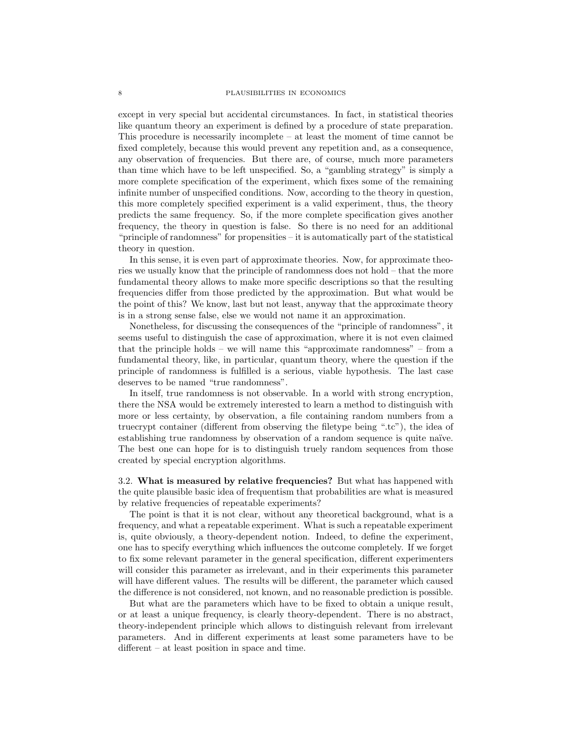except in very special but accidental circumstances. In fact, in statistical theories like quantum theory an experiment is defined by a procedure of state preparation. This procedure is necessarily incomplete – at least the moment of time cannot be fixed completely, because this would prevent any repetition and, as a consequence, any observation of frequencies. But there are, of course, much more parameters than time which have to be left unspecified. So, a "gambling strategy" is simply a more complete specification of the experiment, which fixes some of the remaining infinite number of unspecified conditions. Now, according to the theory in question, this more completely specified experiment is a valid experiment, thus, the theory predicts the same frequency. So, if the more complete specification gives another frequency, the theory in question is false. So there is no need for an additional "principle of randomness" for propensities – it is automatically part of the statistical theory in question.

In this sense, it is even part of approximate theories. Now, for approximate theories we usually know that the principle of randomness does not hold – that the more fundamental theory allows to make more specific descriptions so that the resulting frequencies differ from those predicted by the approximation. But what would be the point of this? We know, last but not least, anyway that the approximate theory is in a strong sense false, else we would not name it an approximation.

Nonetheless, for discussing the consequences of the "principle of randomness", it seems useful to distinguish the case of approximation, where it is not even claimed that the principle holds – we will name this "approximate randomness" – from a fundamental theory, like, in particular, quantum theory, where the question if the principle of randomness is fulfilled is a serious, viable hypothesis. The last case deserves to be named "true randomness".

In itself, true randomness is not observable. In a world with strong encryption, there the NSA would be extremely interested to learn a method to distinguish with more or less certainty, by observation, a file containing random numbers from a truecrypt container (different from observing the filetype being ".tc"), the idea of establishing true randomness by observation of a random sequence is quite naïve. The best one can hope for is to distinguish truely random sequences from those created by special encryption algorithms.

3.2. What is measured by relative frequencies? But what has happened with the quite plausible basic idea of frequentism that probabilities are what is measured by relative frequencies of repeatable experiments?

The point is that it is not clear, without any theoretical background, what is a frequency, and what a repeatable experiment. What is such a repeatable experiment is, quite obviously, a theory-dependent notion. Indeed, to define the experiment, one has to specify everything which influences the outcome completely. If we forget to fix some relevant parameter in the general specification, different experimenters will consider this parameter as irrelevant, and in their experiments this parameter will have different values. The results will be different, the parameter which caused the difference is not considered, not known, and no reasonable prediction is possible.

But what are the parameters which have to be fixed to obtain a unique result, or at least a unique frequency, is clearly theory-dependent. There is no abstract, theory-independent principle which allows to distinguish relevant from irrelevant parameters. And in different experiments at least some parameters have to be different – at least position in space and time.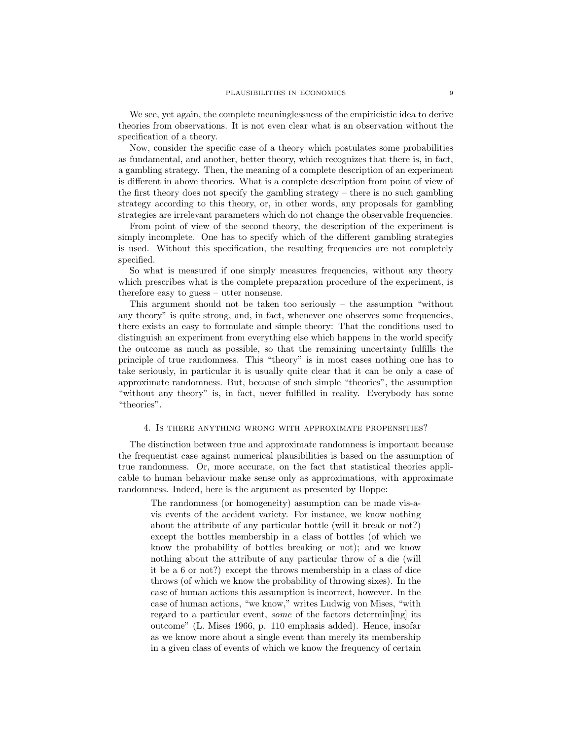We see, yet again, the complete meaninglessness of the empiricistic idea to derive theories from observations. It is not even clear what is an observation without the specification of a theory.

Now, consider the specific case of a theory which postulates some probabilities as fundamental, and another, better theory, which recognizes that there is, in fact, a gambling strategy. Then, the meaning of a complete description of an experiment is different in above theories. What is a complete description from point of view of the first theory does not specify the gambling strategy – there is no such gambling strategy according to this theory, or, in other words, any proposals for gambling strategies are irrelevant parameters which do not change the observable frequencies.

From point of view of the second theory, the description of the experiment is simply incomplete. One has to specify which of the different gambling strategies is used. Without this specification, the resulting frequencies are not completely specified.

So what is measured if one simply measures frequencies, without any theory which prescribes what is the complete preparation procedure of the experiment, is therefore easy to guess – utter nonsense.

This argument should not be taken too seriously – the assumption "without any theory" is quite strong, and, in fact, whenever one observes some frequencies, there exists an easy to formulate and simple theory: That the conditions used to distinguish an experiment from everything else which happens in the world specify the outcome as much as possible, so that the remaining uncertainty fulfills the principle of true randomness. This "theory" is in most cases nothing one has to take seriously, in particular it is usually quite clear that it can be only a case of approximate randomness. But, because of such simple "theories", the assumption "without any theory" is, in fact, never fulfilled in reality. Everybody has some "theories".

## 4. Is there anything wrong with approximate propensities?

The distinction between true and approximate randomness is important because the frequentist case against numerical plausibilities is based on the assumption of true randomness. Or, more accurate, on the fact that statistical theories applicable to human behaviour make sense only as approximations, with approximate randomness. Indeed, here is the argument as presented by Hoppe:

The randomness (or homogeneity) assumption can be made vis-avis events of the accident variety. For instance, we know nothing about the attribute of any particular bottle (will it break or not?) except the bottles membership in a class of bottles (of which we know the probability of bottles breaking or not); and we know nothing about the attribute of any particular throw of a die (will it be a 6 or not?) except the throws membership in a class of dice throws (of which we know the probability of throwing sixes). In the case of human actions this assumption is incorrect, however. In the case of human actions, "we know," writes Ludwig von Mises, "with regard to a particular event, some of the factors determin[ing] its outcome" (L. Mises 1966, p. 110 emphasis added). Hence, insofar as we know more about a single event than merely its membership in a given class of events of which we know the frequency of certain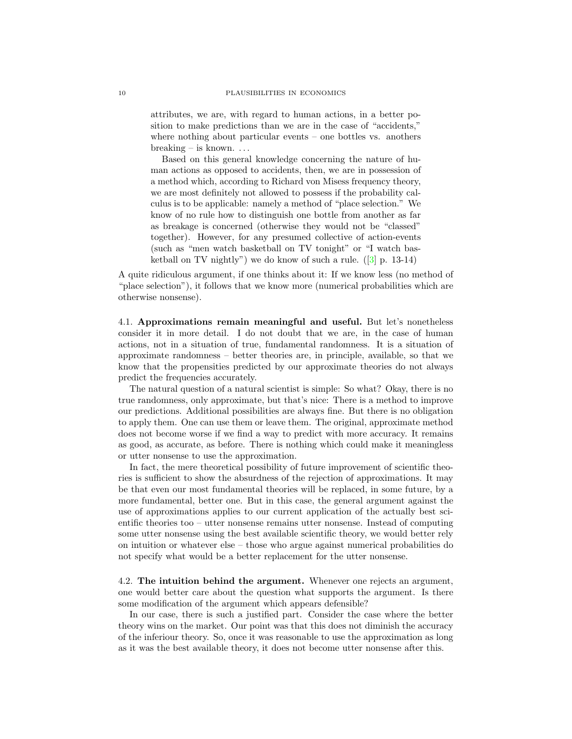attributes, we are, with regard to human actions, in a better position to make predictions than we are in the case of "accidents," where nothing about particular events – one bottles vs. anothers  $breaking - is known.$ ...

Based on this general knowledge concerning the nature of human actions as opposed to accidents, then, we are in possession of a method which, according to Richard von Misess frequency theory, we are most definitely not allowed to possess if the probability calculus is to be applicable: namely a method of "place selection." We know of no rule how to distinguish one bottle from another as far as breakage is concerned (otherwise they would not be "classed" together). However, for any presumed collective of action-events (such as "men watch basketball on TV tonight" or "I watch basketball on TV nightly") we do know of such a rule.  $(3]$  p. 13-14)

A quite ridiculous argument, if one thinks about it: If we know less (no method of "place selection"), it follows that we know more (numerical probabilities which are otherwise nonsense).

4.1. Approximations remain meaningful and useful. But let's nonetheless consider it in more detail. I do not doubt that we are, in the case of human actions, not in a situation of true, fundamental randomness. It is a situation of approximate randomness – better theories are, in principle, available, so that we know that the propensities predicted by our approximate theories do not always predict the frequencies accurately.

The natural question of a natural scientist is simple: So what? Okay, there is no true randomness, only approximate, but that's nice: There is a method to improve our predictions. Additional possibilities are always fine. But there is no obligation to apply them. One can use them or leave them. The original, approximate method does not become worse if we find a way to predict with more accuracy. It remains as good, as accurate, as before. There is nothing which could make it meaningless or utter nonsense to use the approximation.

In fact, the mere theoretical possibility of future improvement of scientific theories is sufficient to show the absurdness of the rejection of approximations. It may be that even our most fundamental theories will be replaced, in some future, by a more fundamental, better one. But in this case, the general argument against the use of approximations applies to our current application of the actually best scientific theories too – utter nonsense remains utter nonsense. Instead of computing some utter nonsense using the best available scientific theory, we would better rely on intuition or whatever else – those who argue against numerical probabilities do not specify what would be a better replacement for the utter nonsense.

4.2. The intuition behind the argument. Whenever one rejects an argument, one would better care about the question what supports the argument. Is there some modification of the argument which appears defensible?

In our case, there is such a justified part. Consider the case where the better theory wins on the market. Our point was that this does not diminish the accuracy of the inferiour theory. So, once it was reasonable to use the approximation as long as it was the best available theory, it does not become utter nonsense after this.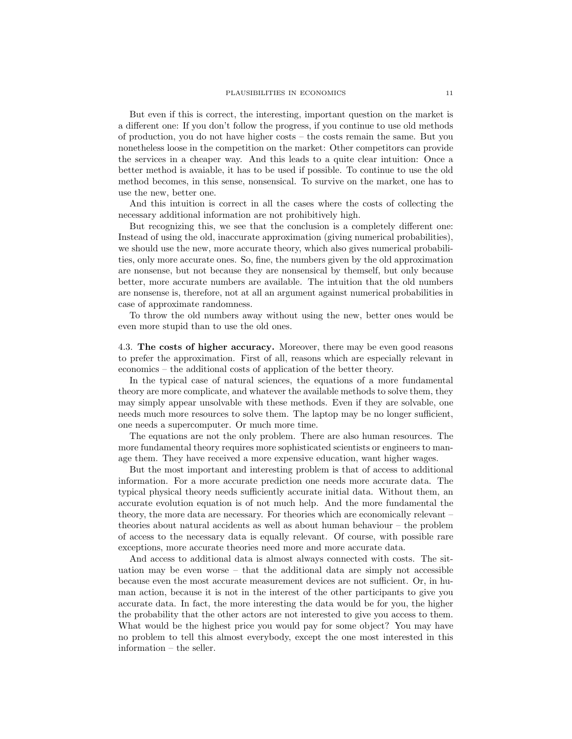But even if this is correct, the interesting, important question on the market is a different one: If you don't follow the progress, if you continue to use old methods of production, you do not have higher costs – the costs remain the same. But you nonetheless loose in the competition on the market: Other competitors can provide the services in a cheaper way. And this leads to a quite clear intuition: Once a better method is avaiable, it has to be used if possible. To continue to use the old method becomes, in this sense, nonsensical. To survive on the market, one has to use the new, better one.

And this intuition is correct in all the cases where the costs of collecting the necessary additional information are not prohibitively high.

But recognizing this, we see that the conclusion is a completely different one: Instead of using the old, inaccurate approximation (giving numerical probabilities), we should use the new, more accurate theory, which also gives numerical probabilities, only more accurate ones. So, fine, the numbers given by the old approximation are nonsense, but not because they are nonsensical by themself, but only because better, more accurate numbers are available. The intuition that the old numbers are nonsense is, therefore, not at all an argument against numerical probabilities in case of approximate randomness.

To throw the old numbers away without using the new, better ones would be even more stupid than to use the old ones.

4.3. The costs of higher accuracy. Moreover, there may be even good reasons to prefer the approximation. First of all, reasons which are especially relevant in economics – the additional costs of application of the better theory.

In the typical case of natural sciences, the equations of a more fundamental theory are more complicate, and whatever the available methods to solve them, they may simply appear unsolvable with these methods. Even if they are solvable, one needs much more resources to solve them. The laptop may be no longer sufficient, one needs a supercomputer. Or much more time.

The equations are not the only problem. There are also human resources. The more fundamental theory requires more sophisticated scientists or engineers to manage them. They have received a more expensive education, want higher wages.

But the most important and interesting problem is that of access to additional information. For a more accurate prediction one needs more accurate data. The typical physical theory needs sufficiently accurate initial data. Without them, an accurate evolution equation is of not much help. And the more fundamental the theory, the more data are necessary. For theories which are economically relevant – theories about natural accidents as well as about human behaviour – the problem of access to the necessary data is equally relevant. Of course, with possible rare exceptions, more accurate theories need more and more accurate data.

And access to additional data is almost always connected with costs. The situation may be even worse – that the additional data are simply not accessible because even the most accurate measurement devices are not sufficient. Or, in human action, because it is not in the interest of the other participants to give you accurate data. In fact, the more interesting the data would be for you, the higher the probability that the other actors are not interested to give you access to them. What would be the highest price you would pay for some object? You may have no problem to tell this almost everybody, except the one most interested in this information – the seller.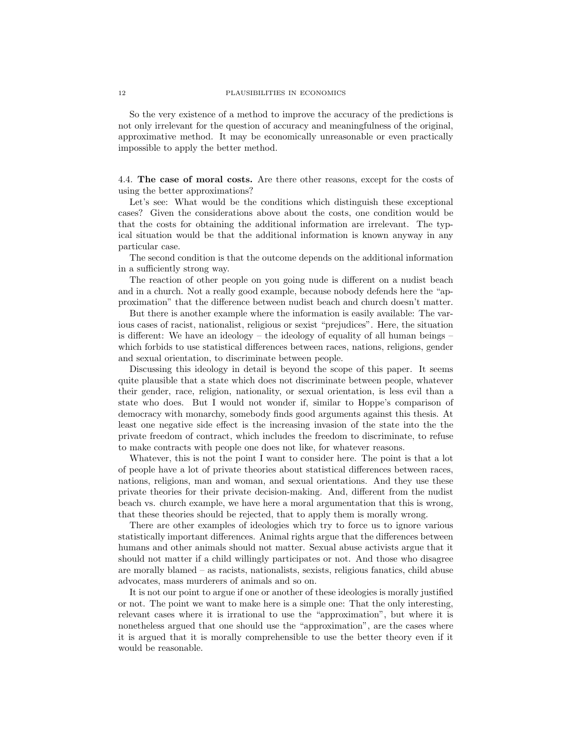So the very existence of a method to improve the accuracy of the predictions is not only irrelevant for the question of accuracy and meaningfulness of the original, approximative method. It may be economically unreasonable or even practically impossible to apply the better method.

4.4. The case of moral costs. Are there other reasons, except for the costs of using the better approximations?

Let's see: What would be the conditions which distinguish these exceptional cases? Given the considerations above about the costs, one condition would be that the costs for obtaining the additional information are irrelevant. The typical situation would be that the additional information is known anyway in any particular case.

The second condition is that the outcome depends on the additional information in a sufficiently strong way.

The reaction of other people on you going nude is different on a nudist beach and in a church. Not a really good example, because nobody defends here the "approximation" that the difference between nudist beach and church doesn't matter.

But there is another example where the information is easily available: The various cases of racist, nationalist, religious or sexist "prejudices". Here, the situation is different: We have an ideology – the ideology of equality of all human beings – which forbids to use statistical differences between races, nations, religions, gender and sexual orientation, to discriminate between people.

Discussing this ideology in detail is beyond the scope of this paper. It seems quite plausible that a state which does not discriminate between people, whatever their gender, race, religion, nationality, or sexual orientation, is less evil than a state who does. But I would not wonder if, similar to Hoppe's comparison of democracy with monarchy, somebody finds good arguments against this thesis. At least one negative side effect is the increasing invasion of the state into the the private freedom of contract, which includes the freedom to discriminate, to refuse to make contracts with people one does not like, for whatever reasons.

Whatever, this is not the point I want to consider here. The point is that a lot of people have a lot of private theories about statistical differences between races, nations, religions, man and woman, and sexual orientations. And they use these private theories for their private decision-making. And, different from the nudist beach vs. church example, we have here a moral argumentation that this is wrong, that these theories should be rejected, that to apply them is morally wrong.

There are other examples of ideologies which try to force us to ignore various statistically important differences. Animal rights argue that the differences between humans and other animals should not matter. Sexual abuse activists argue that it should not matter if a child willingly participates or not. And those who disagree are morally blamed – as racists, nationalists, sexists, religious fanatics, child abuse advocates, mass murderers of animals and so on.

It is not our point to argue if one or another of these ideologies is morally justified or not. The point we want to make here is a simple one: That the only interesting, relevant cases where it is irrational to use the "approximation", but where it is nonetheless argued that one should use the "approximation", are the cases where it is argued that it is morally comprehensible to use the better theory even if it would be reasonable.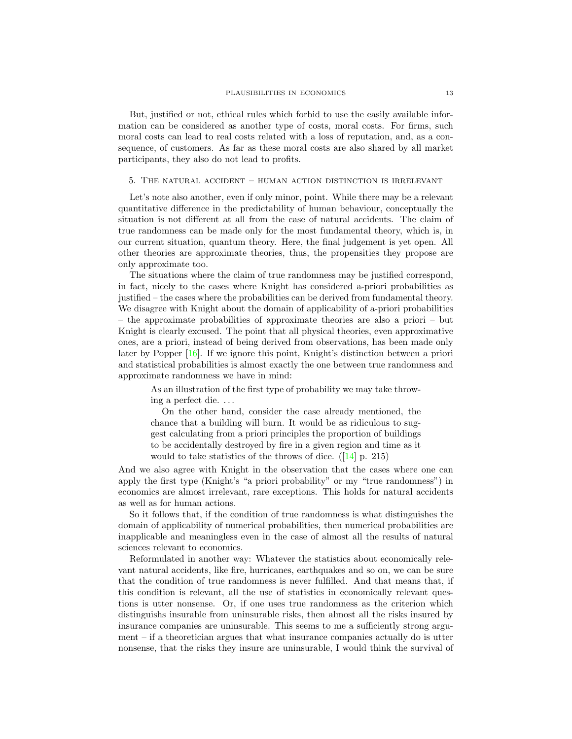But, justified or not, ethical rules which forbid to use the easily available information can be considered as another type of costs, moral costs. For firms, such moral costs can lead to real costs related with a loss of reputation, and, as a consequence, of customers. As far as these moral costs are also shared by all market participants, they also do not lead to profits.

# 5. The natural accident – human action distinction is irrelevant

Let's note also another, even if only minor, point. While there may be a relevant quantitative difference in the predictability of human behaviour, conceptually the situation is not different at all from the case of natural accidents. The claim of true randomness can be made only for the most fundamental theory, which is, in our current situation, quantum theory. Here, the final judgement is yet open. All other theories are approximate theories, thus, the propensities they propose are only approximate too.

The situations where the claim of true randomness may be justified correspond, in fact, nicely to the cases where Knight has considered a-priori probabilities as justified – the cases where the probabilities can be derived from fundamental theory. We disagree with Knight about the domain of applicability of a-priori probabilities – the approximate probabilities of approximate theories are also a priori – but Knight is clearly excused. The point that all physical theories, even approximative ones, are a priori, instead of being derived from observations, has been made only later by Popper [\[16\]](#page-31-4). If we ignore this point, Knight's distinction between a priori and statistical probabilities is almost exactly the one between true randomness and approximate randomness we have in mind:

As an illustration of the first type of probability we may take throwing a perfect die. . . .

On the other hand, consider the case already mentioned, the chance that a building will burn. It would be as ridiculous to suggest calculating from a priori principles the proportion of buildings to be accidentally destroyed by fire in a given region and time as it would to take statistics of the throws of dice.  $([14] \text{ p. } 215)$  $([14] \text{ p. } 215)$  $([14] \text{ p. } 215)$ 

And we also agree with Knight in the observation that the cases where one can apply the first type (Knight's "a priori probability" or my "true randomness") in economics are almost irrelevant, rare exceptions. This holds for natural accidents as well as for human actions.

So it follows that, if the condition of true randomness is what distinguishes the domain of applicability of numerical probabilities, then numerical probabilities are inapplicable and meaningless even in the case of almost all the results of natural sciences relevant to economics.

Reformulated in another way: Whatever the statistics about economically relevant natural accidents, like fire, hurricanes, earthquakes and so on, we can be sure that the condition of true randomness is never fulfilled. And that means that, if this condition is relevant, all the use of statistics in economically relevant questions is utter nonsense. Or, if one uses true randomness as the criterion which distinguishs insurable from uninsurable risks, then almost all the risks insured by insurance companies are uninsurable. This seems to me a sufficiently strong argument – if a theoretician argues that what insurance companies actually do is utter nonsense, that the risks they insure are uninsurable, I would think the survival of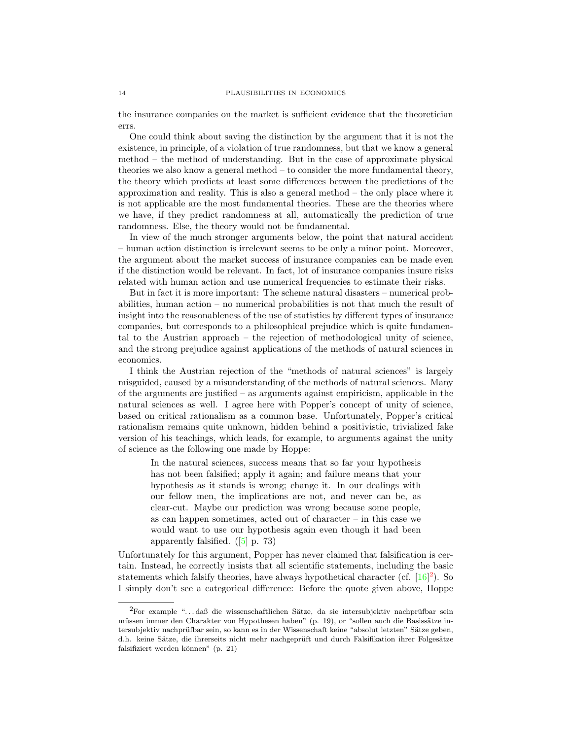the insurance companies on the market is sufficient evidence that the theoretician errs.

One could think about saving the distinction by the argument that it is not the existence, in principle, of a violation of true randomness, but that we know a general method – the method of understanding. But in the case of approximate physical theories we also know a general method  $-$  to consider the more fundamental theory, the theory which predicts at least some differences between the predictions of the approximation and reality. This is also a general method – the only place where it is not applicable are the most fundamental theories. These are the theories where we have, if they predict randomness at all, automatically the prediction of true randomness. Else, the theory would not be fundamental.

In view of the much stronger arguments below, the point that natural accident – human action distinction is irrelevant seems to be only a minor point. Moreover, the argument about the market success of insurance companies can be made even if the distinction would be relevant. In fact, lot of insurance companies insure risks related with human action and use numerical frequencies to estimate their risks.

But in fact it is more important: The scheme natural disasters – numerical probabilities, human action – no numerical probabilities is not that much the result of insight into the reasonableness of the use of statistics by different types of insurance companies, but corresponds to a philosophical prejudice which is quite fundamental to the Austrian approach – the rejection of methodological unity of science, and the strong prejudice against applications of the methods of natural sciences in economics.

I think the Austrian rejection of the "methods of natural sciences" is largely misguided, caused by a misunderstanding of the methods of natural sciences. Many of the arguments are justified – as arguments against empiricism, applicable in the natural sciences as well. I agree here with Popper's concept of unity of science, based on critical rationalism as a common base. Unfortunately, Popper's critical rationalism remains quite unknown, hidden behind a positivistic, trivialized fake version of his teachings, which leads, for example, to arguments against the unity of science as the following one made by Hoppe:

In the natural sciences, success means that so far your hypothesis has not been falsified; apply it again; and failure means that your hypothesis as it stands is wrong; change it. In our dealings with our fellow men, the implications are not, and never can be, as clear-cut. Maybe our prediction was wrong because some people, as can happen sometimes, acted out of character – in this case we would want to use our hypothesis again even though it had been apparently falsified.  $([5]$  $([5]$  p. 73)

Unfortunately for this argument, Popper has never claimed that falsification is certain. Instead, he correctly insists that all scientific statements, including the basic statements which falsify theories, have always hypothetical character (cf.  $[16]^2$  $[16]^2$  $[16]^2$ ). So I simply don't see a categorical difference: Before the quote given above, Hoppe

<span id="page-13-0"></span> ${}^{2}$ For example "...daß die wissenschaftlichen Sätze, da sie intersubjektiv nachprüfbar sein müssen immer den Charakter von Hypothesen haben" (p. 19), or "sollen auch die Basissätze intersubjektiv nachprüfbar sein, so kann es in der Wissenschaft keine "absolut letzten" Sätze geben, d.h. keine Sätze, die ihrerseits nicht mehr nachgeprüft und durch Falsifikation ihrer Folgesätze falsifiziert werden können" (p. 21)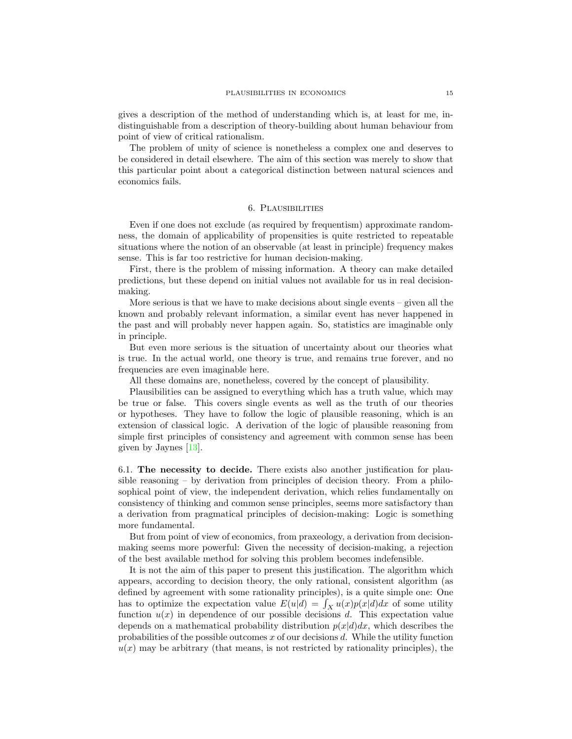gives a description of the method of understanding which is, at least for me, indistinguishable from a description of theory-building about human behaviour from point of view of critical rationalism.

The problem of unity of science is nonetheless a complex one and deserves to be considered in detail elsewhere. The aim of this section was merely to show that this particular point about a categorical distinction between natural sciences and economics fails.

# 6. Plausibilities

Even if one does not exclude (as required by frequentism) approximate randomness, the domain of applicability of propensities is quite restricted to repeatable situations where the notion of an observable (at least in principle) frequency makes sense. This is far too restrictive for human decision-making.

First, there is the problem of missing information. A theory can make detailed predictions, but these depend on initial values not available for us in real decisionmaking.

More serious is that we have to make decisions about single events  $-$  given all the known and probably relevant information, a similar event has never happened in the past and will probably never happen again. So, statistics are imaginable only in principle.

But even more serious is the situation of uncertainty about our theories what is true. In the actual world, one theory is true, and remains true forever, and no frequencies are even imaginable here.

All these domains are, nonetheless, covered by the concept of plausibility.

Plausibilities can be assigned to everything which has a truth value, which may be true or false. This covers single events as well as the truth of our theories or hypotheses. They have to follow the logic of plausible reasoning, which is an extension of classical logic. A derivation of the logic of plausible reasoning from simple first principles of consistency and agreement with common sense has been given by Jaynes [\[13\]](#page-31-2).

6.1. The necessity to decide. There exists also another justification for plausible reasoning – by derivation from principles of decision theory. From a philosophical point of view, the independent derivation, which relies fundamentally on consistency of thinking and common sense principles, seems more satisfactory than a derivation from pragmatical principles of decision-making: Logic is something more fundamental.

But from point of view of economics, from praxeology, a derivation from decisionmaking seems more powerful: Given the necessity of decision-making, a rejection of the best available method for solving this problem becomes indefensible.

It is not the aim of this paper to present this justification. The algorithm which appears, according to decision theory, the only rational, consistent algorithm (as defined by agreement with some rationality principles), is a quite simple one: One has to optimize the expectation value  $E(u|d) = \int_X u(x)p(x|d)dx$  of some utility function  $u(x)$  in dependence of our possible decisions d. This expectation value depends on a mathematical probability distribution  $p(x|d)dx$ , which describes the probabilities of the possible outcomes  $x$  of our decisions  $d$ . While the utility function  $u(x)$  may be arbitrary (that means, is not restricted by rationality principles), the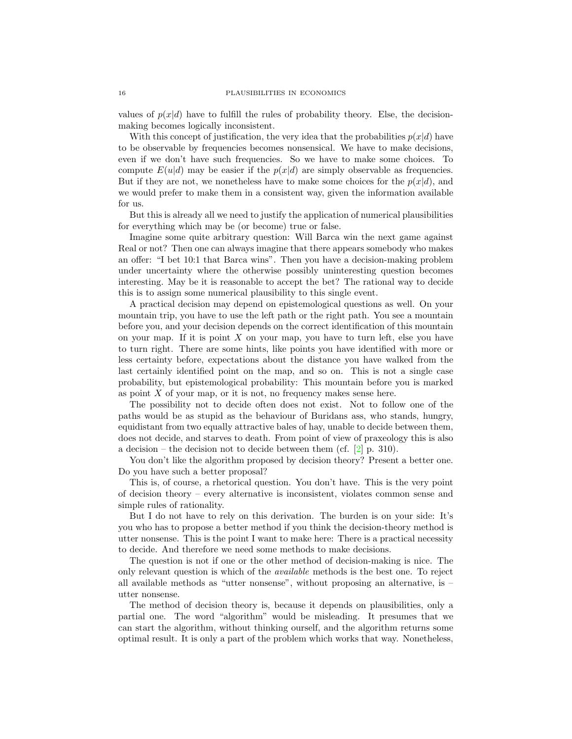values of  $p(x|d)$  have to fulfill the rules of probability theory. Else, the decisionmaking becomes logically inconsistent.

With this concept of justification, the very idea that the probabilities  $p(x|d)$  have to be observable by frequencies becomes nonsensical. We have to make decisions, even if we don't have such frequencies. So we have to make some choices. To compute  $E(u|d)$  may be easier if the  $p(x|d)$  are simply observable as frequencies. But if they are not, we nonetheless have to make some choices for the  $p(x|d)$ , and we would prefer to make them in a consistent way, given the information available for us.

But this is already all we need to justify the application of numerical plausibilities for everything which may be (or become) true or false.

Imagine some quite arbitrary question: Will Barca win the next game against Real or not? Then one can always imagine that there appears somebody who makes an offer: "I bet 10:1 that Barca wins". Then you have a decision-making problem under uncertainty where the otherwise possibly uninteresting question becomes interesting. May be it is reasonable to accept the bet? The rational way to decide this is to assign some numerical plausibility to this single event.

A practical decision may depend on epistemological questions as well. On your mountain trip, you have to use the left path or the right path. You see a mountain before you, and your decision depends on the correct identification of this mountain on your map. If it is point  $X$  on your map, you have to turn left, else you have to turn right. There are some hints, like points you have identified with more or less certainty before, expectations about the distance you have walked from the last certainly identified point on the map, and so on. This is not a single case probability, but epistemological probability: This mountain before you is marked as point  $X$  of your map, or it is not, no frequency makes sense here.

The possibility not to decide often does not exist. Not to follow one of the paths would be as stupid as the behaviour of Buridans ass, who stands, hungry, equidistant from two equally attractive bales of hay, unable to decide between them, does not decide, and starves to death. From point of view of praxeology this is also a decision – the decision not to decide between them (cf.  $[2]$  p. 310).

You don't like the algorithm proposed by decision theory? Present a better one. Do you have such a better proposal?

This is, of course, a rhetorical question. You don't have. This is the very point of decision theory – every alternative is inconsistent, violates common sense and simple rules of rationality.

But I do not have to rely on this derivation. The burden is on your side: It's you who has to propose a better method if you think the decision-theory method is utter nonsense. This is the point I want to make here: There is a practical necessity to decide. And therefore we need some methods to make decisions.

The question is not if one or the other method of decision-making is nice. The only relevant question is which of the available methods is the best one. To reject all available methods as "utter nonsense", without proposing an alternative, is – utter nonsense.

The method of decision theory is, because it depends on plausibilities, only a partial one. The word "algorithm" would be misleading. It presumes that we can start the algorithm, without thinking ourself, and the algorithm returns some optimal result. It is only a part of the problem which works that way. Nonetheless,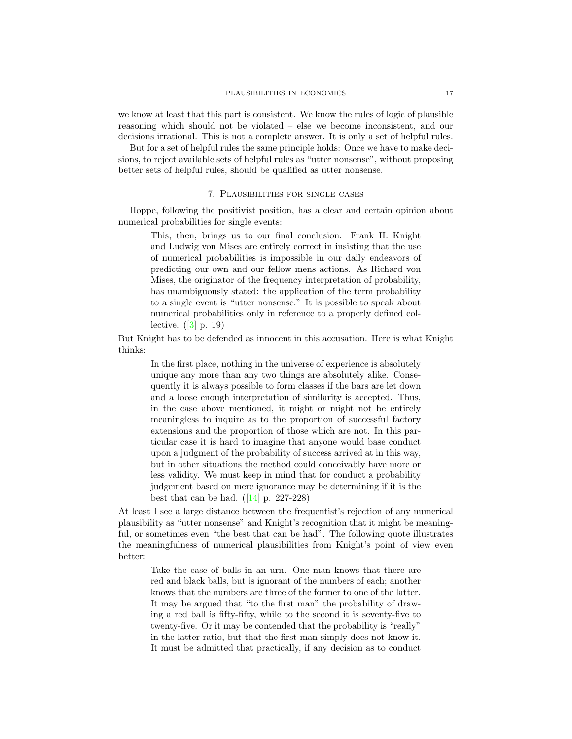we know at least that this part is consistent. We know the rules of logic of plausible reasoning which should not be violated – else we become inconsistent, and our decisions irrational. This is not a complete answer. It is only a set of helpful rules.

But for a set of helpful rules the same principle holds: Once we have to make decisions, to reject available sets of helpful rules as "utter nonsense", without proposing better sets of helpful rules, should be qualified as utter nonsense.

# 7. Plausibilities for single cases

Hoppe, following the positivist position, has a clear and certain opinion about numerical probabilities for single events:

This, then, brings us to our final conclusion. Frank H. Knight and Ludwig von Mises are entirely correct in insisting that the use of numerical probabilities is impossible in our daily endeavors of predicting our own and our fellow mens actions. As Richard von Mises, the originator of the frequency interpretation of probability, has unambiguously stated: the application of the term probability to a single event is "utter nonsense." It is possible to speak about numerical probabilities only in reference to a properly defined collective.  $([3]$  $([3]$  p. 19)

But Knight has to be defended as innocent in this accusation. Here is what Knight thinks:

> In the first place, nothing in the universe of experience is absolutely unique any more than any two things are absolutely alike. Consequently it is always possible to form classes if the bars are let down and a loose enough interpretation of similarity is accepted. Thus, in the case above mentioned, it might or might not be entirely meaningless to inquire as to the proportion of successful factory extensions and the proportion of those which are not. In this particular case it is hard to imagine that anyone would base conduct upon a judgment of the probability of success arrived at in this way, but in other situations the method could conceivably have more or less validity. We must keep in mind that for conduct a probability judgement based on mere ignorance may be determining if it is the best that can be had.  $([14] p. 227-228)$  $([14] p. 227-228)$  $([14] p. 227-228)$

At least I see a large distance between the frequentist's rejection of any numerical plausibility as "utter nonsense" and Knight's recognition that it might be meaningful, or sometimes even "the best that can be had". The following quote illustrates the meaningfulness of numerical plausibilities from Knight's point of view even better:

Take the case of balls in an urn. One man knows that there are red and black balls, but is ignorant of the numbers of each; another knows that the numbers are three of the former to one of the latter. It may be argued that "to the first man" the probability of drawing a red ball is fifty-fifty, while to the second it is seventy-five to twenty-five. Or it may be contended that the probability is "really" in the latter ratio, but that the first man simply does not know it. It must be admitted that practically, if any decision as to conduct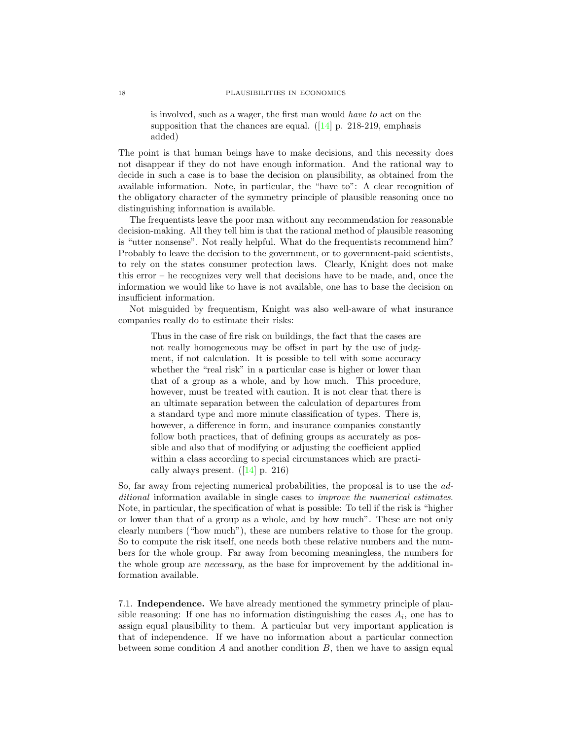is involved, such as a wager, the first man would have to act on the supposition that the chances are equal.  $(14]$  p. 218-219, emphasis added)

The point is that human beings have to make decisions, and this necessity does not disappear if they do not have enough information. And the rational way to decide in such a case is to base the decision on plausibility, as obtained from the available information. Note, in particular, the "have to": A clear recognition of the obligatory character of the symmetry principle of plausible reasoning once no distinguishing information is available.

The frequentists leave the poor man without any recommendation for reasonable decision-making. All they tell him is that the rational method of plausible reasoning is "utter nonsense". Not really helpful. What do the frequentists recommend him? Probably to leave the decision to the government, or to government-paid scientists, to rely on the states consumer protection laws. Clearly, Knight does not make this error – he recognizes very well that decisions have to be made, and, once the information we would like to have is not available, one has to base the decision on insufficient information.

Not misguided by frequentism, Knight was also well-aware of what insurance companies really do to estimate their risks:

Thus in the case of fire risk on buildings, the fact that the cases are not really homogeneous may be offset in part by the use of judgment, if not calculation. It is possible to tell with some accuracy whether the "real risk" in a particular case is higher or lower than that of a group as a whole, and by how much. This procedure, however, must be treated with caution. It is not clear that there is an ultimate separation between the calculation of departures from a standard type and more minute classification of types. There is, however, a difference in form, and insurance companies constantly follow both practices, that of defining groups as accurately as possible and also that of modifying or adjusting the coefficient applied within a class according to special circumstances which are practically always present.  $(14)$  p. 216)

So, far away from rejecting numerical probabilities, the proposal is to use the additional information available in single cases to *improve the numerical estimates*. Note, in particular, the specification of what is possible: To tell if the risk is "higher or lower than that of a group as a whole, and by how much". These are not only clearly numbers ("how much"), these are numbers relative to those for the group. So to compute the risk itself, one needs both these relative numbers and the numbers for the whole group. Far away from becoming meaningless, the numbers for the whole group are necessary, as the base for improvement by the additional information available.

7.1. Independence. We have already mentioned the symmetry principle of plausible reasoning: If one has no information distinguishing the cases  $A_i$ , one has to assign equal plausibility to them. A particular but very important application is that of independence. If we have no information about a particular connection between some condition  $A$  and another condition  $B$ , then we have to assign equal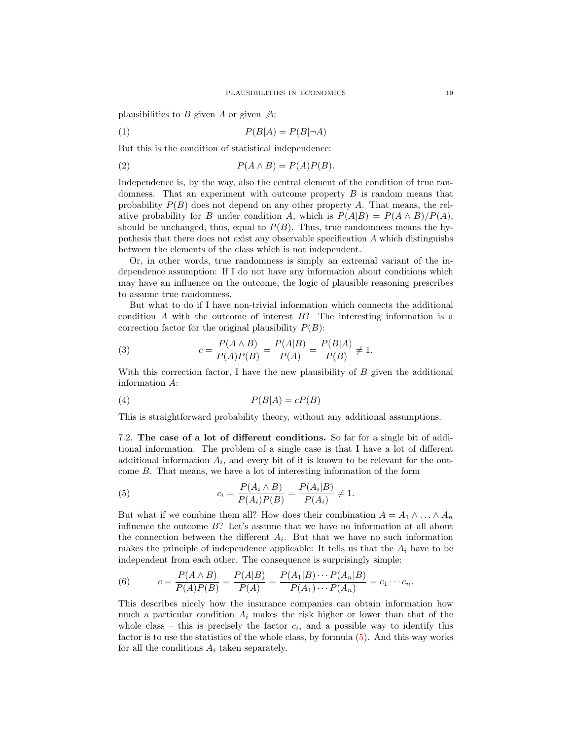plausibilities to B given A or given  $\mathcal{A}$ :

$$
(1) \tP(B|A) = P(B|\neg A)
$$

But this is the condition of statistical independence:

$$
(2) \t\t P(A \wedge B) = P(A)P(B).
$$

Independence is, by the way, also the central element of the condition of true randomness. That an experiment with outcome property B is random means that probability  $P(B)$  does not depend on any other property A. That means, the relative probability for B under condition A, which is  $P(A|B) = P(A \wedge B)/P(A)$ , should be unchanged, thus, equal to  $P(B)$ . Thus, true randomness means the hypothesis that there does not exist any observable specification A which distinguishs between the elements of the class which is not independent.

Or, in other words, true randomness is simply an extremal variant of the independence assumption: If I do not have any information about conditions which may have an influence on the outcome, the logic of plausible reasoning prescribes to assume true randomness.

But what to do if I have non-trivial information which connects the additional condition  $A$  with the outcome of interest  $B$ ? The interesting information is a correction factor for the original plausibility  $P(B)$ :

(3) 
$$
c = \frac{P(A \wedge B)}{P(A)P(B)} = \frac{P(A|B)}{P(A)} = \frac{P(B|A)}{P(B)} \neq 1.
$$

With this correction factor, I have the new plausibility of  $B$  given the additional information A:

$$
(4) \t\t P(B|A) = cP(B)
$$

This is straightforward probability theory, without any additional assumptions.

7.2. The case of a lot of different conditions. So far for a single bit of additional information. The problem of a single case is that I have a lot of different additional information  $A_i$ , and every bit of it is known to be relevant for the outcome B. That means, we have a lot of interesting information of the form

<span id="page-18-0"></span>(5) 
$$
c_i = \frac{P(A_i \wedge B)}{P(A_i)P(B)} = \frac{P(A_i|B)}{P(A_i)} \neq 1.
$$

But what if we combine them all? How does their combination  $A = A_1 \wedge \ldots \wedge A_n$ influence the outcome B? Let's assume that we have no information at all about the connection between the different  $A_i$ . But that we have no such information makes the principle of independence applicable: It tells us that the  $A_i$  have to be independent from each other. The consequence is surprisingly simple:

<span id="page-18-1"></span>(6) 
$$
c = \frac{P(A \wedge B)}{P(A)P(B)} = \frac{P(A|B)}{P(A)} = \frac{P(A_1|B) \cdots P(A_n|B)}{P(A_1) \cdots P(A_n)} = c_1 \cdots c_n.
$$

This describes nicely how the insurance companies can obtain information how much a particular condition  $A_i$  makes the risk higher or lower than that of the whole class – this is precisely the factor  $c_i$ , and a possible way to identify this factor is to use the statistics of the whole class, by formula [\(5\)](#page-18-0). And this way works for all the conditions  $A_i$  taken separately.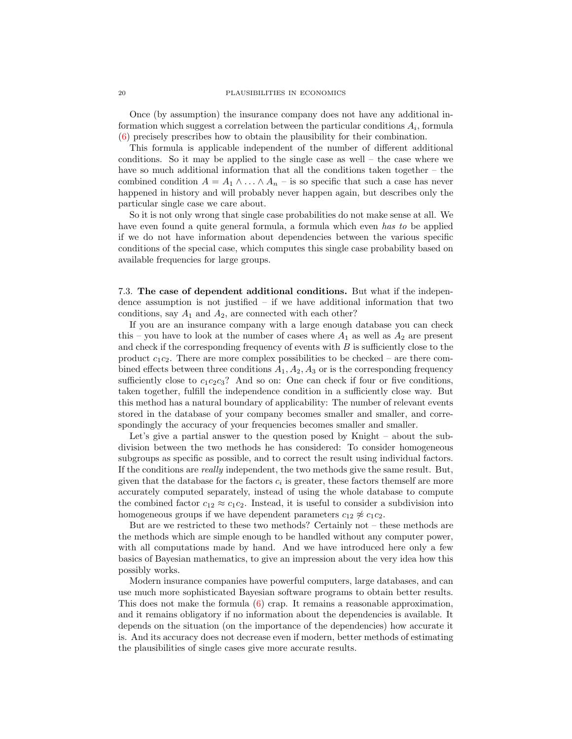Once (by assumption) the insurance company does not have any additional information which suggest a correlation between the particular conditions  $A_i$ , formula [\(6\)](#page-18-1) precisely prescribes how to obtain the plausibility for their combination.

This formula is applicable independent of the number of different additional conditions. So it may be applied to the single case as well – the case where we have so much additional information that all the conditions taken together – the combined condition  $A = A_1 \wedge \ldots \wedge A_n$  – is so specific that such a case has never happened in history and will probably never happen again, but describes only the particular single case we care about.

So it is not only wrong that single case probabilities do not make sense at all. We have even found a quite general formula, a formula which even has to be applied if we do not have information about dependencies between the various specific conditions of the special case, which computes this single case probability based on available frequencies for large groups.

7.3. The case of dependent additional conditions. But what if the independence assumption is not justified  $-$  if we have additional information that two conditions, say  $A_1$  and  $A_2$ , are connected with each other?

If you are an insurance company with a large enough database you can check this – you have to look at the number of cases where  $A_1$  as well as  $A_2$  are present and check if the corresponding frequency of events with B is sufficiently close to the product  $c_1c_2$ . There are more complex possibilities to be checked – are there combined effects between three conditions  $A_1, A_2, A_3$  or is the corresponding frequency sufficiently close to  $c_1c_2c_3$ ? And so on: One can check if four or five conditions, taken together, fulfill the independence condition in a sufficiently close way. But this method has a natural boundary of applicability: The number of relevant events stored in the database of your company becomes smaller and smaller, and correspondingly the accuracy of your frequencies becomes smaller and smaller.

Let's give a partial answer to the question posed by Knight – about the subdivision between the two methods he has considered: To consider homogeneous subgroups as specific as possible, and to correct the result using individual factors. If the conditions are really independent, the two methods give the same result. But, given that the database for the factors  $c_i$  is greater, these factors themself are more accurately computed separately, instead of using the whole database to compute the combined factor  $c_{12} \approx c_1 c_2$ . Instead, it is useful to consider a subdivision into homogeneous groups if we have dependent parameters  $c_{12} \not\approx c_1c_2$ .

But are we restricted to these two methods? Certainly not – these methods are the methods which are simple enough to be handled without any computer power, with all computations made by hand. And we have introduced here only a few basics of Bayesian mathematics, to give an impression about the very idea how this possibly works.

Modern insurance companies have powerful computers, large databases, and can use much more sophisticated Bayesian software programs to obtain better results. This does not make the formula  $(6)$  crap. It remains a reasonable approximation, and it remains obligatory if no information about the dependencies is available. It depends on the situation (on the importance of the dependencies) how accurate it is. And its accuracy does not decrease even if modern, better methods of estimating the plausibilities of single cases give more accurate results.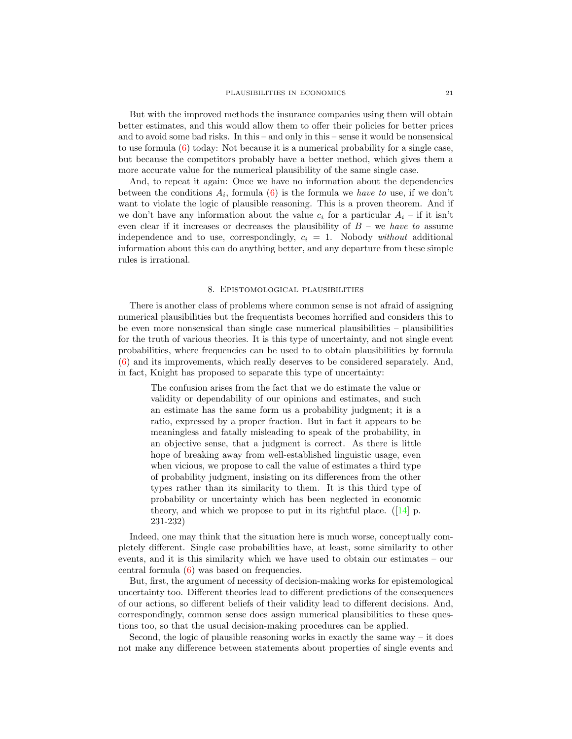But with the improved methods the insurance companies using them will obtain better estimates, and this would allow them to offer their policies for better prices and to avoid some bad risks. In this – and only in this – sense it would be nonsensical to use formula [\(6\)](#page-18-1) today: Not because it is a numerical probability for a single case, but because the competitors probably have a better method, which gives them a more accurate value for the numerical plausibility of the same single case.

And, to repeat it again: Once we have no information about the dependencies between the conditions  $A_i$ , formula [\(6\)](#page-18-1) is the formula we have to use, if we don't want to violate the logic of plausible reasoning. This is a proven theorem. And if we don't have any information about the value  $c_i$  for a particular  $A_i$  – if it isn't even clear if it increases or decreases the plausibility of  $B$  – we have to assume independence and to use, correspondingly,  $c_i = 1$ . Nobody without additional information about this can do anything better, and any departure from these simple rules is irrational.

## 8. Epistomological plausibilities

<span id="page-20-0"></span>There is another class of problems where common sense is not afraid of assigning numerical plausibilities but the frequentists becomes horrified and considers this to be even more nonsensical than single case numerical plausibilities – plausibilities for the truth of various theories. It is this type of uncertainty, and not single event probabilities, where frequencies can be used to to obtain plausibilities by formula [\(6\)](#page-18-1) and its improvements, which really deserves to be considered separately. And, in fact, Knight has proposed to separate this type of uncertainty:

The confusion arises from the fact that we do estimate the value or validity or dependability of our opinions and estimates, and such an estimate has the same form us a probability judgment; it is a ratio, expressed by a proper fraction. But in fact it appears to be meaningless and fatally misleading to speak of the probability, in an objective sense, that a judgment is correct. As there is little hope of breaking away from well-established linguistic usage, even when vicious, we propose to call the value of estimates a third type of probability judgment, insisting on its differences from the other types rather than its similarity to them. It is this third type of probability or uncertainty which has been neglected in economic theory, and which we propose to put in its rightful place.  $(14)$  p. 231-232)

Indeed, one may think that the situation here is much worse, conceptually completely different. Single case probabilities have, at least, some similarity to other events, and it is this similarity which we have used to obtain our estimates – our central formula [\(6\)](#page-18-1) was based on frequencies.

But, first, the argument of necessity of decision-making works for epistemological uncertainty too. Different theories lead to different predictions of the consequences of our actions, so different beliefs of their validity lead to different decisions. And, correspondingly, common sense does assign numerical plausibilities to these questions too, so that the usual decision-making procedures can be applied.

Second, the logic of plausible reasoning works in exactly the same way – it does not make any difference between statements about properties of single events and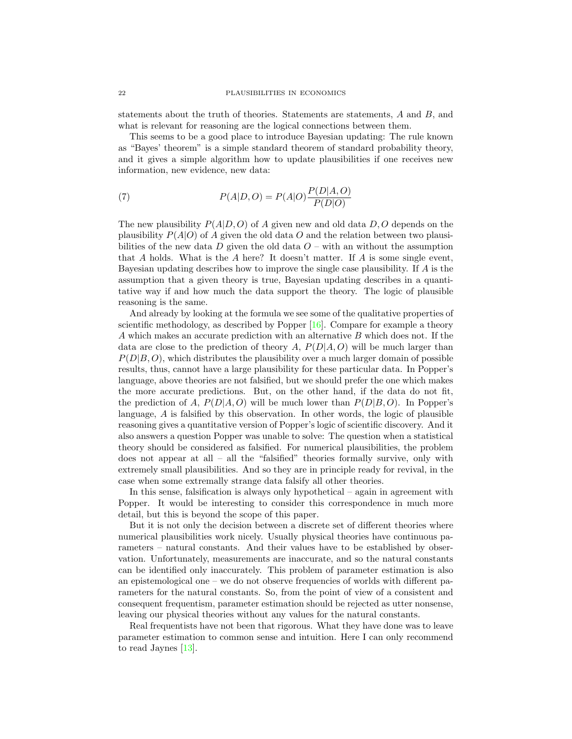statements about the truth of theories. Statements are statements, A and B, and what is relevant for reasoning are the logical connections between them.

This seems to be a good place to introduce Bayesian updating: The rule known as "Bayes' theorem" is a simple standard theorem of standard probability theory, and it gives a simple algorithm how to update plausibilities if one receives new information, new evidence, new data:

(7) 
$$
P(A|D,O) = P(A|O)\frac{P(D|A,O)}{P(D|O)}
$$

The new plausibility  $P(A|D, O)$  of A given new and old data D, O depends on the plausibility  $P(A|O)$  of A given the old data O and the relation between two plausibilities of the new data  $D$  given the old data  $O$  – with an without the assumption that A holds. What is the A here? It doesn't matter. If A is some single event, Bayesian updating describes how to improve the single case plausibility. If A is the assumption that a given theory is true, Bayesian updating describes in a quantitative way if and how much the data support the theory. The logic of plausible reasoning is the same.

And already by looking at the formula we see some of the qualitative properties of scientific methodology, as described by Popper [\[16\]](#page-31-4). Compare for example a theory A which makes an accurate prediction with an alternative B which does not. If the data are close to the prediction of theory A,  $P(D|A, O)$  will be much larger than  $P(D|B, O)$ , which distributes the plausibility over a much larger domain of possible results, thus, cannot have a large plausibility for these particular data. In Popper's language, above theories are not falsified, but we should prefer the one which makes the more accurate predictions. But, on the other hand, if the data do not fit, the prediction of A,  $P(D|A, O)$  will be much lower than  $P(D|B, O)$ . In Popper's language, A is falsified by this observation. In other words, the logic of plausible reasoning gives a quantitative version of Popper's logic of scientific discovery. And it also answers a question Popper was unable to solve: The question when a statistical theory should be considered as falsified. For numerical plausibilities, the problem does not appear at all – all the "falsified" theories formally survive, only with extremely small plausibilities. And so they are in principle ready for revival, in the case when some extremally strange data falsify all other theories.

In this sense, falsification is always only hypothetical – again in agreement with Popper. It would be interesting to consider this correspondence in much more detail, but this is beyond the scope of this paper.

But it is not only the decision between a discrete set of different theories where numerical plausibilities work nicely. Usually physical theories have continuous parameters – natural constants. And their values have to be established by observation. Unfortunately, measurements are inaccurate, and so the natural constants can be identified only inaccurately. This problem of parameter estimation is also an epistemological one – we do not observe frequencies of worlds with different parameters for the natural constants. So, from the point of view of a consistent and consequent frequentism, parameter estimation should be rejected as utter nonsense, leaving our physical theories without any values for the natural constants.

Real frequentists have not been that rigorous. What they have done was to leave parameter estimation to common sense and intuition. Here I can only recommend to read Jaynes [\[13\]](#page-31-2).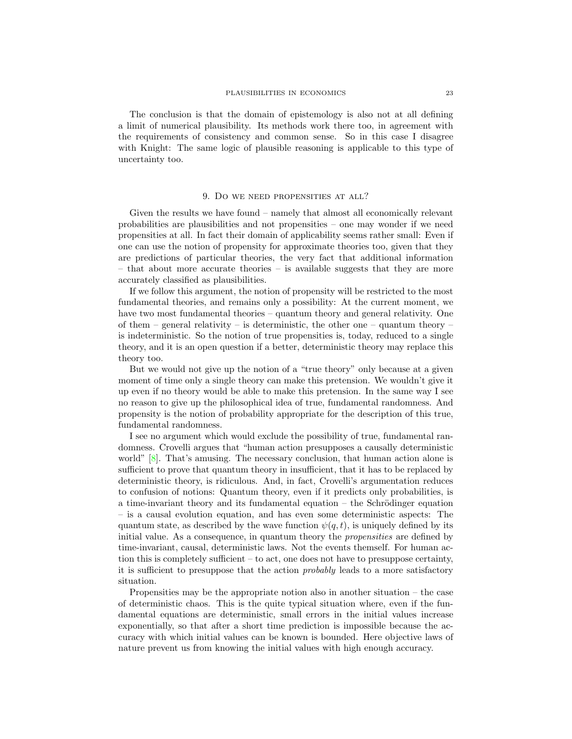The conclusion is that the domain of epistemology is also not at all defining a limit of numerical plausibility. Its methods work there too, in agreement with the requirements of consistency and common sense. So in this case I disagree with Knight: The same logic of plausible reasoning is applicable to this type of uncertainty too.

#### 9. Do we need propensities at all?

Given the results we have found – namely that almost all economically relevant probabilities are plausibilities and not propensities – one may wonder if we need propensities at all. In fact their domain of applicability seems rather small: Even if one can use the notion of propensity for approximate theories too, given that they are predictions of particular theories, the very fact that additional information – that about more accurate theories – is available suggests that they are more accurately classified as plausibilities.

If we follow this argument, the notion of propensity will be restricted to the most fundamental theories, and remains only a possibility: At the current moment, we have two most fundamental theories – quantum theory and general relativity. One of them – general relativity – is deterministic, the other one – quantum theory – is indeterministic. So the notion of true propensities is, today, reduced to a single theory, and it is an open question if a better, deterministic theory may replace this theory too.

But we would not give up the notion of a "true theory" only because at a given moment of time only a single theory can make this pretension. We wouldn't give it up even if no theory would be able to make this pretension. In the same way I see no reason to give up the philosophical idea of true, fundamental randomness. And propensity is the notion of probability appropriate for the description of this true, fundamental randomness.

I see no argument which would exclude the possibility of true, fundamental randomness. Crovelli argues that "human action presupposes a causally deterministic world" [\[8\]](#page-30-4). That's amusing. The necessary conclusion, that human action alone is sufficient to prove that quantum theory in insufficient, that it has to be replaced by deterministic theory, is ridiculous. And, in fact, Crovelli's argumentation reduces to confusion of notions: Quantum theory, even if it predicts only probabilities, is a time-invariant theory and its fundamental equation – the Schrödinger equation – is a causal evolution equation, and has even some deterministic aspects: The quantum state, as described by the wave function  $\psi(q, t)$ , is uniquely defined by its initial value. As a consequence, in quantum theory the *propensities* are defined by time-invariant, causal, deterministic laws. Not the events themself. For human action this is completely sufficient  $-$  to act, one does not have to presuppose certainty, it is sufficient to presuppose that the action probably leads to a more satisfactory situation.

Propensities may be the appropriate notion also in another situation – the case of deterministic chaos. This is the quite typical situation where, even if the fundamental equations are deterministic, small errors in the initial values increase exponentially, so that after a short time prediction is impossible because the accuracy with which initial values can be known is bounded. Here objective laws of nature prevent us from knowing the initial values with high enough accuracy.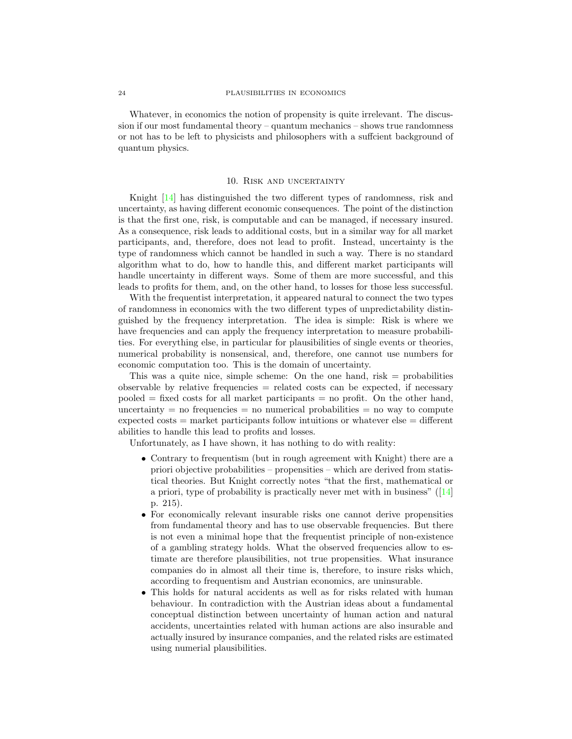Whatever, in economics the notion of propensity is quite irrelevant. The discussion if our most fundamental theory – quantum mechanics – shows true randomness or not has to be left to physicists and philosophers with a suffcient background of quantum physics.

### 10. Risk and uncertainty

Knight [\[14\]](#page-31-3) has distinguished the two different types of randomness, risk and uncertainty, as having different economic consequences. The point of the distinction is that the first one, risk, is computable and can be managed, if necessary insured. As a consequence, risk leads to additional costs, but in a similar way for all market participants, and, therefore, does not lead to profit. Instead, uncertainty is the type of randomness which cannot be handled in such a way. There is no standard algorithm what to do, how to handle this, and different market participants will handle uncertainty in different ways. Some of them are more successful, and this leads to profits for them, and, on the other hand, to losses for those less successful.

With the frequentist interpretation, it appeared natural to connect the two types of randomness in economics with the two different types of unpredictability distinguished by the frequency interpretation. The idea is simple: Risk is where we have frequencies and can apply the frequency interpretation to measure probabilities. For everything else, in particular for plausibilities of single events or theories, numerical probability is nonsensical, and, therefore, one cannot use numbers for economic computation too. This is the domain of uncertainty.

This was a quite nice, simple scheme: On the one hand, risk  $=$  probabilities  $\alpha$  observable by relative frequencies  $=$  related costs can be expected, if necessary pooled  $=$  fixed costs for all market participants  $=$  no profit. On the other hand, uncertainty  $=$  no frequencies  $=$  no numerical probabilities  $=$  no way to compute expected costs = market participants follow intuitions or whatever else = different abilities to handle this lead to profits and losses.

Unfortunately, as I have shown, it has nothing to do with reality:

- Contrary to frequentism (but in rough agreement with Knight) there are a priori objective probabilities – propensities – which are derived from statistical theories. But Knight correctly notes "that the first, mathematical or a priori, type of probability is practically never met with in business"  $(14)$ p. 215).
- For economically relevant insurable risks one cannot derive propensities from fundamental theory and has to use observable frequencies. But there is not even a minimal hope that the frequentist principle of non-existence of a gambling strategy holds. What the observed frequencies allow to estimate are therefore plausibilities, not true propensities. What insurance companies do in almost all their time is, therefore, to insure risks which, according to frequentism and Austrian economics, are uninsurable.
- This holds for natural accidents as well as for risks related with human behaviour. In contradiction with the Austrian ideas about a fundamental conceptual distinction between uncertainty of human action and natural accidents, uncertainties related with human actions are also insurable and actually insured by insurance companies, and the related risks are estimated using numerial plausibilities.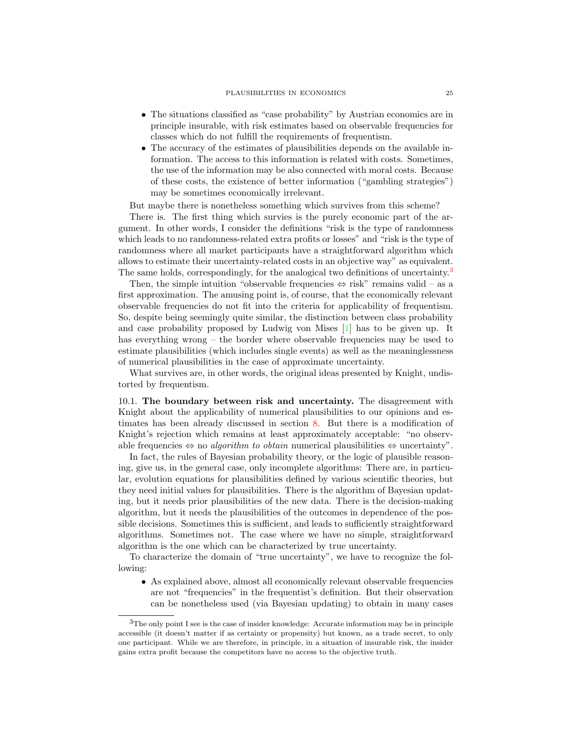- The situations classified as "case probability" by Austrian economics are in principle insurable, with risk estimates based on observable frequencies for classes which do not fulfill the requirements of frequentism.
- The accuracy of the estimates of plausibilities depends on the available information. The access to this information is related with costs. Sometimes, the use of the information may be also connected with moral costs. Because of these costs, the existence of better information ("gambling strategies") may be sometimes economically irrelevant.

But maybe there is nonetheless something which survives from this scheme?

There is. The first thing which survies is the purely economic part of the argument. In other words, I consider the definitions "risk is the type of randomness which leads to no randomness-related extra profits or losses" and "risk is the type of randomness where all market participants have a straightforward algorithm which allows to estimate their uncertainty-related costs in an objective way" as equivalent. The same holds, correspondingly, for the analogical two definitions of uncertainty.<sup>[3](#page-24-0)</sup>

Then, the simple intuition "observable frequencies  $\Leftrightarrow$  risk" remains valid – as a first approximation. The amusing point is, of course, that the economically relevant observable frequencies do not fit into the criteria for applicability of frequentism. So, despite being seemingly quite similar, the distinction between class probability and case probability proposed by Ludwig von Mises [\[1\]](#page-30-0) has to be given up. It has everything wrong – the border where observable frequencies may be used to estimate plausibilities (which includes single events) as well as the meaninglessness of numerical plausibilities in the case of approximate uncertainty.

What survives are, in other words, the original ideas presented by Knight, undistorted by frequentism.

10.1. The boundary between risk and uncertainty. The disagreement with Knight about the applicability of numerical plausibilities to our opinions and estimates has been already discussed in section [8.](#page-20-0) But there is a modification of Knight's rejection which remains at least approximately acceptable: "no observable frequencies  $\Leftrightarrow$  no *algorithm to obtain* numerical plausibilities  $\Leftrightarrow$  uncertainty".

In fact, the rules of Bayesian probability theory, or the logic of plausible reasoning, give us, in the general case, only incomplete algorithms: There are, in particular, evolution equations for plausibilities defined by various scientific theories, but they need initial values for plausibilities. There is the algorithm of Bayesian updating, but it needs prior plausibilities of the new data. There is the decision-making algorithm, but it needs the plausibilities of the outcomes in dependence of the possible decisions. Sometimes this is sufficient, and leads to sufficiently straightforward algorithms. Sometimes not. The case where we have no simple, straightforward algorithm is the one which can be characterized by true uncertainty.

To characterize the domain of "true uncertainty", we have to recognize the following:

• As explained above, almost all economically relevant observable frequencies are not "frequencies" in the frequentist's definition. But their observation can be nonetheless used (via Bayesian updating) to obtain in many cases

<span id="page-24-0"></span><sup>3</sup>The only point I see is the case of insider knowledge: Accurate information may be in principle accessible (it doesn't matter if as certainty or propensity) but known, as a trade secret, to only one participant. While we are therefore, in principle, in a situation of insurable risk, the insider gains extra profit because the competitors have no access to the objective truth.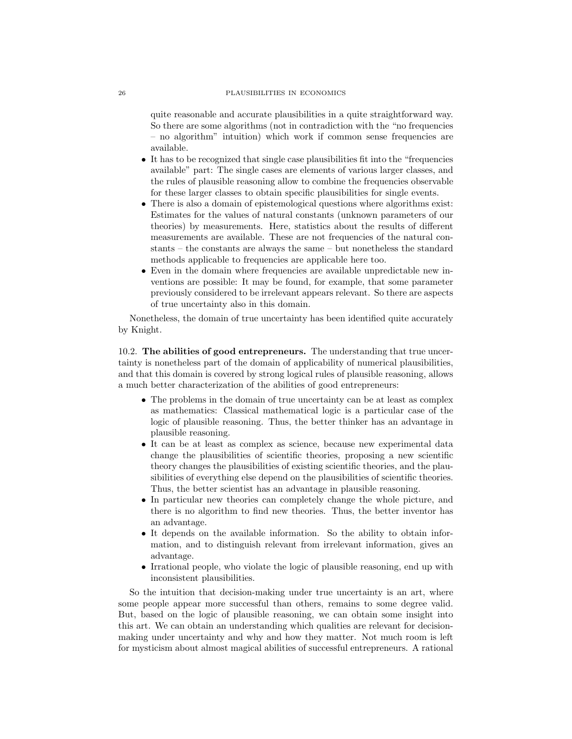quite reasonable and accurate plausibilities in a quite straightforward way. So there are some algorithms (not in contradiction with the "no frequencies – no algorithm" intuition) which work if common sense frequencies are available.

- It has to be recognized that single case plausibilities fit into the "frequencies available" part: The single cases are elements of various larger classes, and the rules of plausible reasoning allow to combine the frequencies observable for these larger classes to obtain specific plausibilities for single events.
- There is also a domain of epistemological questions where algorithms exist: Estimates for the values of natural constants (unknown parameters of our theories) by measurements. Here, statistics about the results of different measurements are available. These are not frequencies of the natural constants – the constants are always the same – but nonetheless the standard methods applicable to frequencies are applicable here too.
- Even in the domain where frequencies are available unpredictable new inventions are possible: It may be found, for example, that some parameter previously considered to be irrelevant appears relevant. So there are aspects of true uncertainty also in this domain.

Nonetheless, the domain of true uncertainty has been identified quite accurately by Knight.

10.2. The abilities of good entrepreneurs. The understanding that true uncertainty is nonetheless part of the domain of applicability of numerical plausibilities, and that this domain is covered by strong logical rules of plausible reasoning, allows a much better characterization of the abilities of good entrepreneurs:

- The problems in the domain of true uncertainty can be at least as complex as mathematics: Classical mathematical logic is a particular case of the logic of plausible reasoning. Thus, the better thinker has an advantage in plausible reasoning.
- It can be at least as complex as science, because new experimental data change the plausibilities of scientific theories, proposing a new scientific theory changes the plausibilities of existing scientific theories, and the plausibilities of everything else depend on the plausibilities of scientific theories. Thus, the better scientist has an advantage in plausible reasoning.
- In particular new theories can completely change the whole picture, and there is no algorithm to find new theories. Thus, the better inventor has an advantage.
- It depends on the available information. So the ability to obtain information, and to distinguish relevant from irrelevant information, gives an advantage.
- Irrational people, who violate the logic of plausible reasoning, end up with inconsistent plausibilities.

So the intuition that decision-making under true uncertainty is an art, where some people appear more successful than others, remains to some degree valid. But, based on the logic of plausible reasoning, we can obtain some insight into this art. We can obtain an understanding which qualities are relevant for decisionmaking under uncertainty and why and how they matter. Not much room is left for mysticism about almost magical abilities of successful entrepreneurs. A rational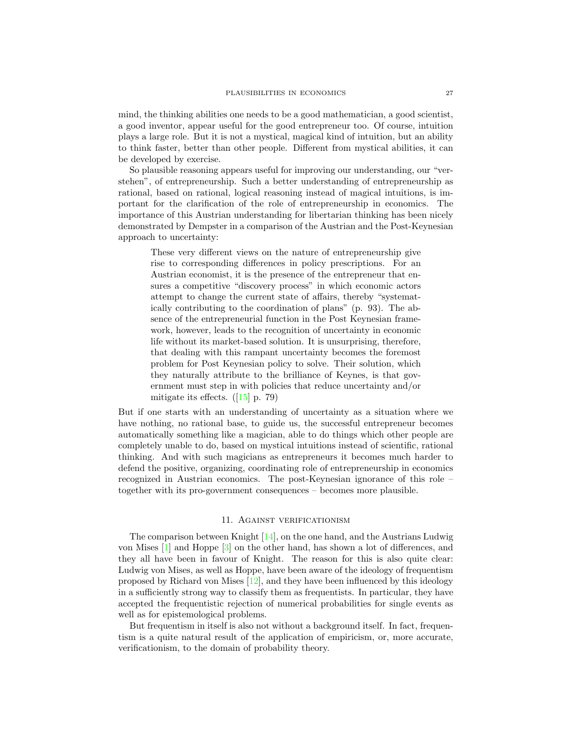mind, the thinking abilities one needs to be a good mathematician, a good scientist, a good inventor, appear useful for the good entrepreneur too. Of course, intuition plays a large role. But it is not a mystical, magical kind of intuition, but an ability to think faster, better than other people. Different from mystical abilities, it can be developed by exercise.

So plausible reasoning appears useful for improving our understanding, our "verstehen", of entrepreneurship. Such a better understanding of entrepreneurship as rational, based on rational, logical reasoning instead of magical intuitions, is important for the clarification of the role of entrepreneurship in economics. The importance of this Austrian understanding for libertarian thinking has been nicely demonstrated by Dempster in a comparison of the Austrian and the Post-Keynesian approach to uncertainty:

These very different views on the nature of entrepreneurship give rise to corresponding differences in policy prescriptions. For an Austrian economist, it is the presence of the entrepreneur that ensures a competitive "discovery process" in which economic actors attempt to change the current state of affairs, thereby "systematically contributing to the coordination of plans" (p. 93). The absence of the entrepreneurial function in the Post Keynesian framework, however, leads to the recognition of uncertainty in economic life without its market-based solution. It is unsurprising, therefore, that dealing with this rampant uncertainty becomes the foremost problem for Post Keynesian policy to solve. Their solution, which they naturally attribute to the brilliance of Keynes, is that government must step in with policies that reduce uncertainty and/or mitigate its effects.  $([15]$  $([15]$  p. 79)

But if one starts with an understanding of uncertainty as a situation where we have nothing, no rational base, to guide us, the successful entrepreneur becomes automatically something like a magician, able to do things which other people are completely unable to do, based on mystical intuitions instead of scientific, rational thinking. And with such magicians as entrepreneurs it becomes much harder to defend the positive, organizing, coordinating role of entrepreneurship in economics recognized in Austrian economics. The post-Keynesian ignorance of this role – together with its pro-government consequences – becomes more plausible.

# 11. Against verificationism

The comparison between Knight  $[14]$ , on the one hand, and the Austrians Ludwig von Mises [\[1\]](#page-30-0) and Hoppe [\[3\]](#page-30-2) on the other hand, has shown a lot of differences, and they all have been in favour of Knight. The reason for this is also quite clear: Ludwig von Mises, as well as Hoppe, have been aware of the ideology of frequentism proposed by Richard von Mises  $[12]$ , and they have been influenced by this ideology in a sufficiently strong way to classify them as frequentists. In particular, they have accepted the frequentistic rejection of numerical probabilities for single events as well as for epistemological problems.

But frequentism in itself is also not without a background itself. In fact, frequentism is a quite natural result of the application of empiricism, or, more accurate, verificationism, to the domain of probability theory.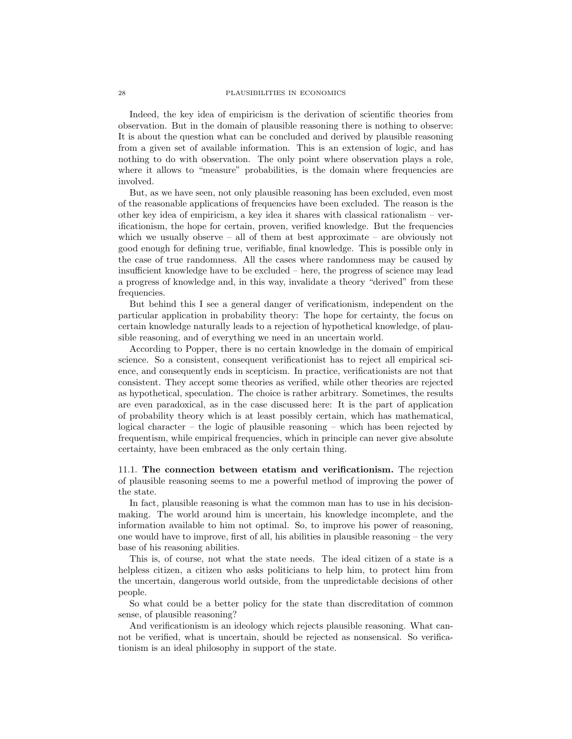### 28 PLAUSIBILITIES IN ECONOMICS

Indeed, the key idea of empiricism is the derivation of scientific theories from observation. But in the domain of plausible reasoning there is nothing to observe: It is about the question what can be concluded and derived by plausible reasoning from a given set of available information. This is an extension of logic, and has nothing to do with observation. The only point where observation plays a role, where it allows to "measure" probabilities, is the domain where frequencies are involved.

But, as we have seen, not only plausible reasoning has been excluded, even most of the reasonable applications of frequencies have been excluded. The reason is the other key idea of empiricism, a key idea it shares with classical rationalism – verificationism, the hope for certain, proven, verified knowledge. But the frequencies which we usually observe  $-$  all of them at best approximate  $-$  are obviously not good enough for defining true, verifiable, final knowledge. This is possible only in the case of true randomness. All the cases where randomness may be caused by insufficient knowledge have to be excluded – here, the progress of science may lead a progress of knowledge and, in this way, invalidate a theory "derived" from these frequencies.

But behind this I see a general danger of verificationism, independent on the particular application in probability theory: The hope for certainty, the focus on certain knowledge naturally leads to a rejection of hypothetical knowledge, of plausible reasoning, and of everything we need in an uncertain world.

According to Popper, there is no certain knowledge in the domain of empirical science. So a consistent, consequent verificationist has to reject all empirical science, and consequently ends in scepticism. In practice, verificationists are not that consistent. They accept some theories as verified, while other theories are rejected as hypothetical, speculation. The choice is rather arbitrary. Sometimes, the results are even paradoxical, as in the case discussed here: It is the part of application of probability theory which is at least possibly certain, which has mathematical, logical character – the logic of plausible reasoning – which has been rejected by frequentism, while empirical frequencies, which in principle can never give absolute certainty, have been embraced as the only certain thing.

11.1. The connection between etatism and verificationism. The rejection of plausible reasoning seems to me a powerful method of improving the power of the state.

In fact, plausible reasoning is what the common man has to use in his decisionmaking. The world around him is uncertain, his knowledge incomplete, and the information available to him not optimal. So, to improve his power of reasoning, one would have to improve, first of all, his abilities in plausible reasoning – the very base of his reasoning abilities.

This is, of course, not what the state needs. The ideal citizen of a state is a helpless citizen, a citizen who asks politicians to help him, to protect him from the uncertain, dangerous world outside, from the unpredictable decisions of other people.

So what could be a better policy for the state than discreditation of common sense, of plausible reasoning?

And verificationism is an ideology which rejects plausible reasoning. What cannot be verified, what is uncertain, should be rejected as nonsensical. So verificationism is an ideal philosophy in support of the state.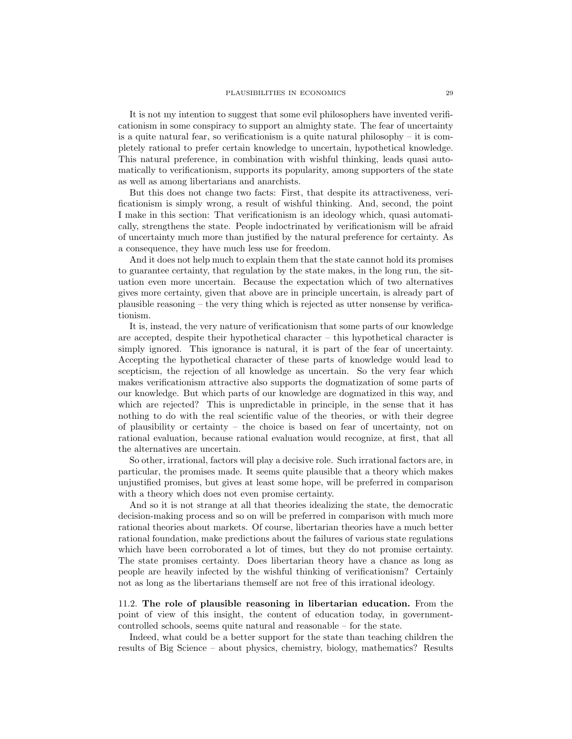It is not my intention to suggest that some evil philosophers have invented verificationism in some conspiracy to support an almighty state. The fear of uncertainty is a quite natural fear, so verificationism is a quite natural philosophy – it is completely rational to prefer certain knowledge to uncertain, hypothetical knowledge. This natural preference, in combination with wishful thinking, leads quasi automatically to verificationism, supports its popularity, among supporters of the state as well as among libertarians and anarchists.

But this does not change two facts: First, that despite its attractiveness, verificationism is simply wrong, a result of wishful thinking. And, second, the point I make in this section: That verificationism is an ideology which, quasi automatically, strengthens the state. People indoctrinated by verificationism will be afraid of uncertainty much more than justified by the natural preference for certainty. As a consequence, they have much less use for freedom.

And it does not help much to explain them that the state cannot hold its promises to guarantee certainty, that regulation by the state makes, in the long run, the situation even more uncertain. Because the expectation which of two alternatives gives more certainty, given that above are in principle uncertain, is already part of plausible reasoning – the very thing which is rejected as utter nonsense by verificationism.

It is, instead, the very nature of verificationism that some parts of our knowledge are accepted, despite their hypothetical character – this hypothetical character is simply ignored. This ignorance is natural, it is part of the fear of uncertainty. Accepting the hypothetical character of these parts of knowledge would lead to scepticism, the rejection of all knowledge as uncertain. So the very fear which makes verificationism attractive also supports the dogmatization of some parts of our knowledge. But which parts of our knowledge are dogmatized in this way, and which are rejected? This is unpredictable in principle, in the sense that it has nothing to do with the real scientific value of the theories, or with their degree of plausibility or certainty – the choice is based on fear of uncertainty, not on rational evaluation, because rational evaluation would recognize, at first, that all the alternatives are uncertain.

So other, irrational, factors will play a decisive role. Such irrational factors are, in particular, the promises made. It seems quite plausible that a theory which makes unjustified promises, but gives at least some hope, will be preferred in comparison with a theory which does not even promise certainty.

And so it is not strange at all that theories idealizing the state, the democratic decision-making process and so on will be preferred in comparison with much more rational theories about markets. Of course, libertarian theories have a much better rational foundation, make predictions about the failures of various state regulations which have been corroborated a lot of times, but they do not promise certainty. The state promises certainty. Does libertarian theory have a chance as long as people are heavily infected by the wishful thinking of verificationism? Certainly not as long as the libertarians themself are not free of this irrational ideology.

11.2. The role of plausible reasoning in libertarian education. From the point of view of this insight, the content of education today, in governmentcontrolled schools, seems quite natural and reasonable – for the state.

Indeed, what could be a better support for the state than teaching children the results of Big Science – about physics, chemistry, biology, mathematics? Results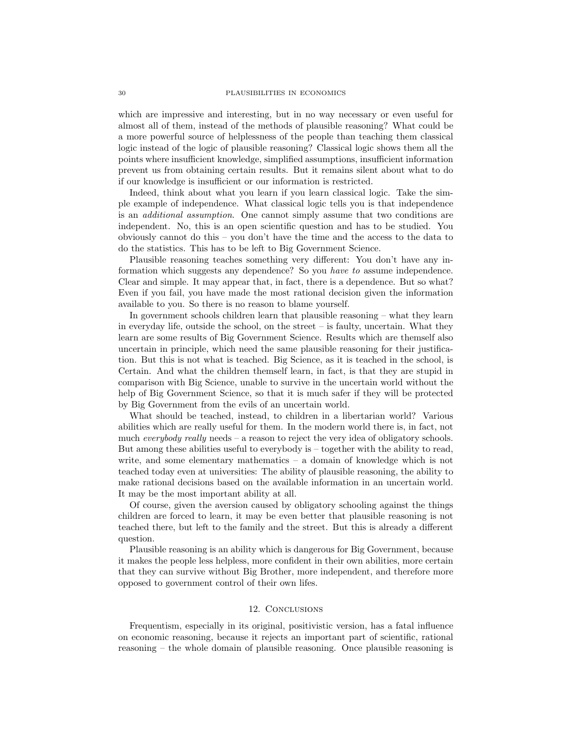which are impressive and interesting, but in no way necessary or even useful for almost all of them, instead of the methods of plausible reasoning? What could be a more powerful source of helplessness of the people than teaching them classical logic instead of the logic of plausible reasoning? Classical logic shows them all the points where insufficient knowledge, simplified assumptions, insufficient information prevent us from obtaining certain results. But it remains silent about what to do if our knowledge is insufficient or our information is restricted.

Indeed, think about what you learn if you learn classical logic. Take the simple example of independence. What classical logic tells you is that independence is an additional assumption. One cannot simply assume that two conditions are independent. No, this is an open scientific question and has to be studied. You obviously cannot do this – you don't have the time and the access to the data to do the statistics. This has to be left to Big Government Science.

Plausible reasoning teaches something very different: You don't have any information which suggests any dependence? So you have to assume independence. Clear and simple. It may appear that, in fact, there is a dependence. But so what? Even if you fail, you have made the most rational decision given the information available to you. So there is no reason to blame yourself.

In government schools children learn that plausible reasoning – what they learn in everyday life, outside the school, on the street  $-$  is faulty, uncertain. What they learn are some results of Big Government Science. Results which are themself also uncertain in principle, which need the same plausible reasoning for their justification. But this is not what is teached. Big Science, as it is teached in the school, is Certain. And what the children themself learn, in fact, is that they are stupid in comparison with Big Science, unable to survive in the uncertain world without the help of Big Government Science, so that it is much safer if they will be protected by Big Government from the evils of an uncertain world.

What should be teached, instead, to children in a libertarian world? Various abilities which are really useful for them. In the modern world there is, in fact, not much *everybody really* needs – a reason to reject the very idea of obligatory schools. But among these abilities useful to everybody is – together with the ability to read, write, and some elementary mathematics – a domain of knowledge which is not teached today even at universities: The ability of plausible reasoning, the ability to make rational decisions based on the available information in an uncertain world. It may be the most important ability at all.

Of course, given the aversion caused by obligatory schooling against the things children are forced to learn, it may be even better that plausible reasoning is not teached there, but left to the family and the street. But this is already a different question.

Plausible reasoning is an ability which is dangerous for Big Government, because it makes the people less helpless, more confident in their own abilities, more certain that they can survive without Big Brother, more independent, and therefore more opposed to government control of their own lifes.

# 12. Conclusions

Frequentism, especially in its original, positivistic version, has a fatal influence on economic reasoning, because it rejects an important part of scientific, rational reasoning – the whole domain of plausible reasoning. Once plausible reasoning is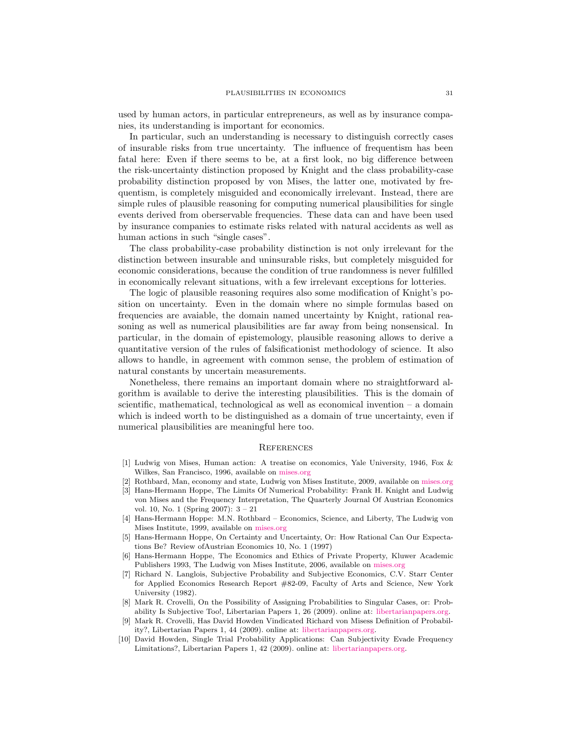used by human actors, in particular entrepreneurs, as well as by insurance companies, its understanding is important for economics.

In particular, such an understanding is necessary to distinguish correctly cases of insurable risks from true uncertainty. The influence of frequentism has been fatal here: Even if there seems to be, at a first look, no big difference between the risk-uncertainty distinction proposed by Knight and the class probability-case probability distinction proposed by von Mises, the latter one, motivated by frequentism, is completely misguided and economically irrelevant. Instead, there are simple rules of plausible reasoning for computing numerical plausibilities for single events derived from oberservable frequencies. These data can and have been used by insurance companies to estimate risks related with natural accidents as well as human actions in such "single cases".

The class probability-case probability distinction is not only irrelevant for the distinction between insurable and uninsurable risks, but completely misguided for economic considerations, because the condition of true randomness is never fulfilled in economically relevant situations, with a few irrelevant exceptions for lotteries.

The logic of plausible reasoning requires also some modification of Knight's position on uncertainty. Even in the domain where no simple formulas based on frequencies are avaiable, the domain named uncertainty by Knight, rational reasoning as well as numerical plausibilities are far away from being nonsensical. In particular, in the domain of epistemology, plausible reasoning allows to derive a quantitative version of the rules of falsificationist methodology of science. It also allows to handle, in agreement with common sense, the problem of estimation of natural constants by uncertain measurements.

Nonetheless, there remains an important domain where no straightforward algorithm is available to derive the interesting plausibilities. This is the domain of scientific, mathematical, technological as well as economical invention – a domain which is indeed worth to be distinguished as a domain of true uncertainty, even if numerical plausibilities are meaningful here too.

#### **REFERENCES**

- <span id="page-30-0"></span>[1] Ludwig von Mises, Human action: A treatise on economics, Yale University, 1946, Fox & Wilkes, San Francisco, 1996, available on [mises.org](http://mises.org)
- <span id="page-30-1"></span>[2] Rothbard, Man, economy and state, Ludwig von Mises Institute, 2009, available on [mises.org](http://mises.org)
- <span id="page-30-2"></span>[3] Hans-Hermann Hoppe, The Limits Of Numerical Probability: Frank H. Knight and Ludwig von Mises and the Frequency Interpretation, The Quarterly Journal Of Austrian Economics vol. 10, No. 1 (Spring 2007): 3 – 21
- [4] Hans-Hermann Hoppe: M.N. Rothbard Economics, Science, and Liberty, The Ludwig von Mises Institute, 1999, available on [mises.org](http://mises.org)
- <span id="page-30-7"></span>[5] Hans-Hermann Hoppe, On Certainty and Uncertainty, Or: How Rational Can Our Expectations Be? Review ofAustrian Economics 10, No. 1 (1997)
- [6] Hans-Hermann Hoppe, The Economics and Ethics of Private Property, Kluwer Academic Publishers 1993, The Ludwig von Mises Institute, 2006, available on [mises.org](http://mises.org)
- <span id="page-30-3"></span>[7] Richard N. Langlois, Subjective Probability and Subjective Economics, C.V. Starr Center for Applied Economics Research Report #82-09, Faculty of Arts and Science, New York University (1982).
- <span id="page-30-4"></span>[8] Mark R. Crovelli, On the Possibility of Assigning Probabilities to Singular Cases, or: Probability Is Subjective Too!, Libertarian Papers 1, 26 (2009). online at: [libertarianpapers.org.](http://libertarianpapers.org)
- <span id="page-30-5"></span>[9] Mark R. Crovelli, Has David Howden Vindicated Richard von Misess Definition of Probability?, Libertarian Papers 1, 44 (2009). online at: [libertarianpapers.org.](http://libertarianpapers.org)
- <span id="page-30-6"></span>[10] David Howden, Single Trial Probability Applications: Can Subjectivity Evade Frequency Limitations?, Libertarian Papers 1, 42 (2009). online at: [libertarianpapers.org.](http://libertarianpapers.org)